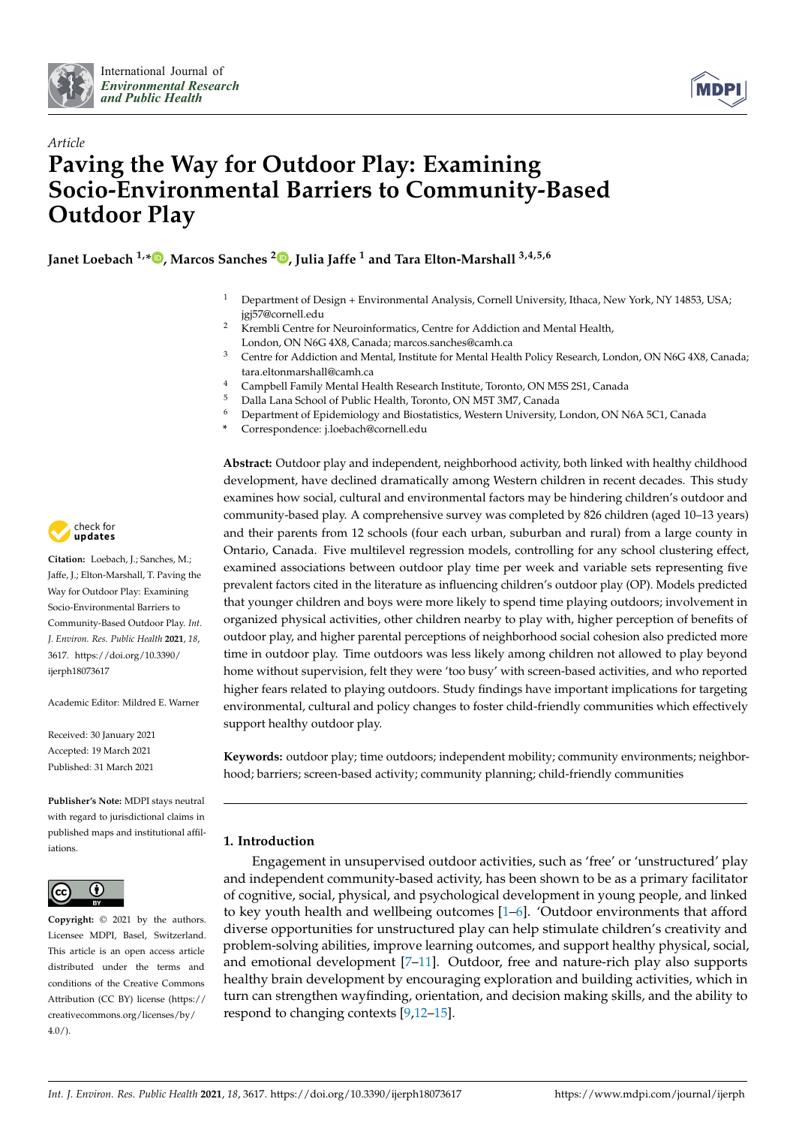



# *Article* **Paving the Way for Outdoor Play: Examining Socio-Environmental Barriers to Community-Based Outdoor Play**

**Janet Loebach 1,[\\*](https://orcid.org/0000-0003-0237-1692) , Marcos Sanches <sup>2</sup> [,](https://orcid.org/0000-0001-9075-1761) Julia Jaffe <sup>1</sup> and Tara Elton-Marshall 3,4,5,6**

- <sup>1</sup> Department of Design + Environmental Analysis, Cornell University, Ithaca, New York, NY 14853, USA; jgj57@cornell.edu
- <sup>2</sup> Krembli Centre for Neuroinformatics, Centre for Addiction and Mental Health, London, ON N6G 4X8, Canada; marcos.sanches@camh.ca
- <sup>3</sup> Centre for Addiction and Mental, Institute for Mental Health Policy Research, London, ON N6G 4X8, Canada; tara.eltonmarshall@camh.ca
- <sup>4</sup> Campbell Family Mental Health Research Institute, Toronto, ON M5S 2S1, Canada<br><sup>5</sup> Palla Lana School of Public Health, Toronto, ON M5T 2M7, Canada
- <sup>5</sup> Dalla Lana School of Public Health, Toronto, ON M5T 3M7, Canada<br><sup>6</sup> Department of Enidemiology and Biostatistics, Western University
- <sup>6</sup> Department of Epidemiology and Biostatistics, Western University, London, ON N6A 5C1, Canada
- **\*** Correspondence: j.loebach@cornell.edu

**Abstract:** Outdoor play and independent, neighborhood activity, both linked with healthy childhood development, have declined dramatically among Western children in recent decades. This study examines how social, cultural and environmental factors may be hindering children's outdoor and community-based play. A comprehensive survey was completed by 826 children (aged 10–13 years) and their parents from 12 schools (four each urban, suburban and rural) from a large county in Ontario, Canada. Five multilevel regression models, controlling for any school clustering effect, examined associations between outdoor play time per week and variable sets representing five prevalent factors cited in the literature as influencing children's outdoor play (OP). Models predicted that younger children and boys were more likely to spend time playing outdoors; involvement in organized physical activities, other children nearby to play with, higher perception of benefits of outdoor play, and higher parental perceptions of neighborhood social cohesion also predicted more time in outdoor play. Time outdoors was less likely among children not allowed to play beyond home without supervision, felt they were 'too busy' with screen-based activities, and who reported higher fears related to playing outdoors. Study findings have important implications for targeting environmental, cultural and policy changes to foster child-friendly communities which effectively support healthy outdoor play.

**Keywords:** outdoor play; time outdoors; independent mobility; community environments; neighborhood; barriers; screen-based activity; community planning; child-friendly communities

# **1. Introduction**

Engagement in unsupervised outdoor activities, such as 'free' or 'unstructured' play and independent community-based activity, has been shown to be as a primary facilitator of cognitive, social, physical, and psychological development in young people, and linked to key youth health and wellbeing outcomes [\[1](#page-19-0)[–6\]](#page-19-1). 'Outdoor environments that afford diverse opportunities for unstructured play can help stimulate children's creativity and problem-solving abilities, improve learning outcomes, and support healthy physical, social, and emotional development [\[7](#page-19-2)[–11\]](#page-19-3). Outdoor, free and nature-rich play also supports healthy brain development by encouraging exploration and building activities, which in turn can strengthen wayfinding, orientation, and decision making skills, and the ability to respond to changing contexts [\[9](#page-19-4)[,12–](#page-19-5)[15\]](#page-20-0).



**Citation:** Loebach, J.; Sanches, M.; Jaffe, J.; Elton-Marshall, T. Paving the Way for Outdoor Play: Examining Socio-Environmental Barriers to Community-Based Outdoor Play. *Int. J. Environ. Res. Public Health* **2021**, *18*, 3617. [https://doi.org/10.3390/](https://doi.org/10.3390/ijerph18073617) [ijerph18073617](https://doi.org/10.3390/ijerph18073617)

Academic Editor: Mildred E. Warner

Received: 30 January 2021 Accepted: 19 March 2021 Published: 31 March 2021

**Publisher's Note:** MDPI stays neutral with regard to jurisdictional claims in published maps and institutional affiliations.



**Copyright:** © 2021 by the authors. Licensee MDPI, Basel, Switzerland. This article is an open access article distributed under the terms and conditions of the Creative Commons Attribution (CC BY) license (https:/[/](https://creativecommons.org/licenses/by/4.0/) [creativecommons.org/licenses/by/](https://creativecommons.org/licenses/by/4.0/)  $4.0/$ ).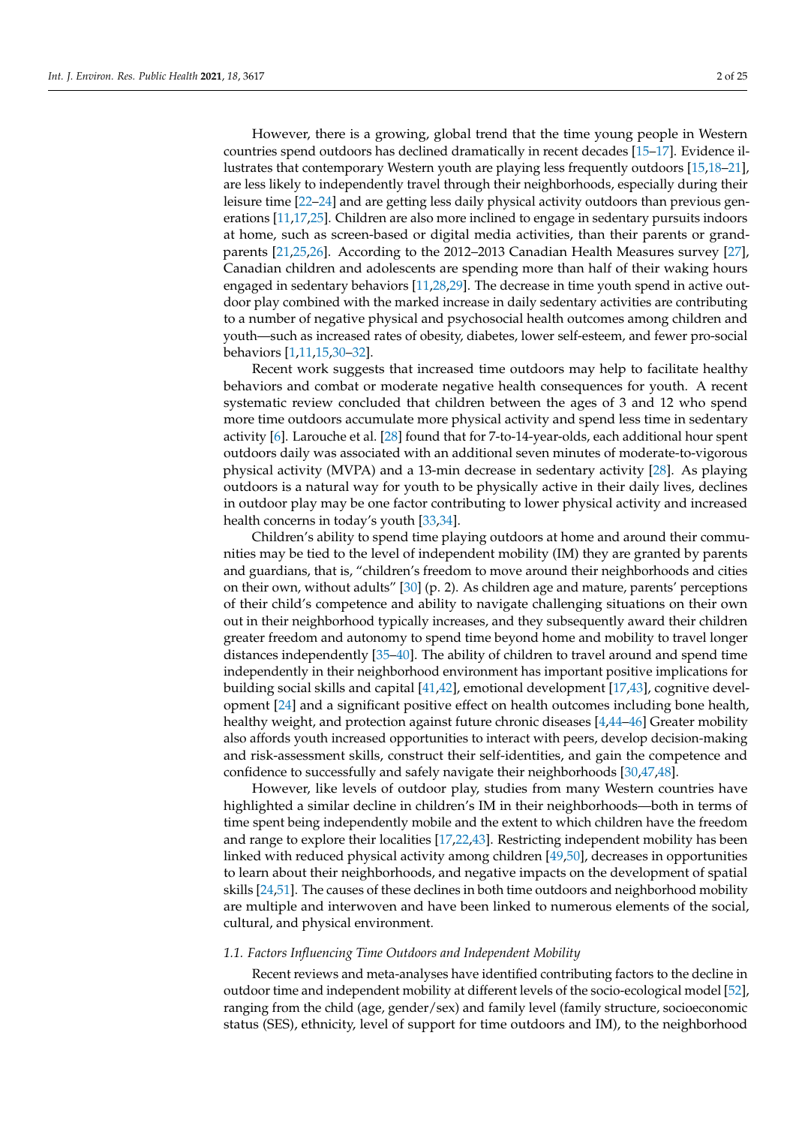However, there is a growing, global trend that the time young people in Western countries spend outdoors has declined dramatically in recent decades [\[15–](#page-20-0)[17\]](#page-20-1). Evidence illustrates that contemporary Western youth are playing less frequently outdoors [\[15](#page-20-0)[,18–](#page-20-2)[21\]](#page-20-3), are less likely to independently travel through their neighborhoods, especially during their leisure time [\[22](#page-20-4)[–24\]](#page-20-5) and are getting less daily physical activity outdoors than previous generations [\[11](#page-19-3)[,17](#page-20-1)[,25\]](#page-20-6). Children are also more inclined to engage in sedentary pursuits indoors at home, such as screen-based or digital media activities, than their parents or grandparents [\[21](#page-20-3)[,25](#page-20-6)[,26\]](#page-20-7). According to the 2012–2013 Canadian Health Measures survey [\[27\]](#page-20-8), Canadian children and adolescents are spending more than half of their waking hours engaged in sedentary behaviors [\[11](#page-19-3)[,28](#page-20-9)[,29\]](#page-20-10). The decrease in time youth spend in active outdoor play combined with the marked increase in daily sedentary activities are contributing to a number of negative physical and psychosocial health outcomes among children and youth—such as increased rates of obesity, diabetes, lower self-esteem, and fewer pro-social behaviors [\[1,](#page-19-0)[11,](#page-19-3)[15,](#page-20-0)[30–](#page-20-11)[32\]](#page-20-12).

Recent work suggests that increased time outdoors may help to facilitate healthy behaviors and combat or moderate negative health consequences for youth. A recent systematic review concluded that children between the ages of 3 and 12 who spend more time outdoors accumulate more physical activity and spend less time in sedentary activity [\[6\]](#page-19-1). Larouche et al. [\[28\]](#page-20-9) found that for 7-to-14-year-olds, each additional hour spent outdoors daily was associated with an additional seven minutes of moderate-to-vigorous physical activity (MVPA) and a 13-min decrease in sedentary activity [\[28\]](#page-20-9). As playing outdoors is a natural way for youth to be physically active in their daily lives, declines in outdoor play may be one factor contributing to lower physical activity and increased health concerns in today's youth [\[33](#page-20-13)[,34\]](#page-20-14).

Children's ability to spend time playing outdoors at home and around their communities may be tied to the level of independent mobility (IM) they are granted by parents and guardians, that is, "children's freedom to move around their neighborhoods and cities on their own, without adults" [\[30\]](#page-20-11) (p. 2). As children age and mature, parents' perceptions of their child's competence and ability to navigate challenging situations on their own out in their neighborhood typically increases, and they subsequently award their children greater freedom and autonomy to spend time beyond home and mobility to travel longer distances independently [\[35–](#page-20-15)[40\]](#page-20-16). The ability of children to travel around and spend time independently in their neighborhood environment has important positive implications for building social skills and capital [\[41](#page-20-17)[,42\]](#page-20-18), emotional development [\[17,](#page-20-1)[43\]](#page-20-19), cognitive development [\[24\]](#page-20-5) and a significant positive effect on health outcomes including bone health, healthy weight, and protection against future chronic diseases [\[4,](#page-19-6)[44](#page-21-0)[–46\]](#page-21-1) Greater mobility also affords youth increased opportunities to interact with peers, develop decision-making and risk-assessment skills, construct their self-identities, and gain the competence and confidence to successfully and safely navigate their neighborhoods [\[30](#page-20-11)[,47,](#page-21-2)[48\]](#page-21-3).

However, like levels of outdoor play, studies from many Western countries have highlighted a similar decline in children's IM in their neighborhoods—both in terms of time spent being independently mobile and the extent to which children have the freedom and range to explore their localities [\[17](#page-20-1)[,22](#page-20-4)[,43\]](#page-20-19). Restricting independent mobility has been linked with reduced physical activity among children [\[49](#page-21-4)[,50\]](#page-21-5), decreases in opportunities to learn about their neighborhoods, and negative impacts on the development of spatial skills [\[24](#page-20-5)[,51\]](#page-21-6). The causes of these declines in both time outdoors and neighborhood mobility are multiple and interwoven and have been linked to numerous elements of the social, cultural, and physical environment.

#### *1.1. Factors Influencing Time Outdoors and Independent Mobility*

Recent reviews and meta-analyses have identified contributing factors to the decline in outdoor time and independent mobility at different levels of the socio-ecological model [\[52\]](#page-21-7), ranging from the child (age, gender/sex) and family level (family structure, socioeconomic status (SES), ethnicity, level of support for time outdoors and IM), to the neighborhood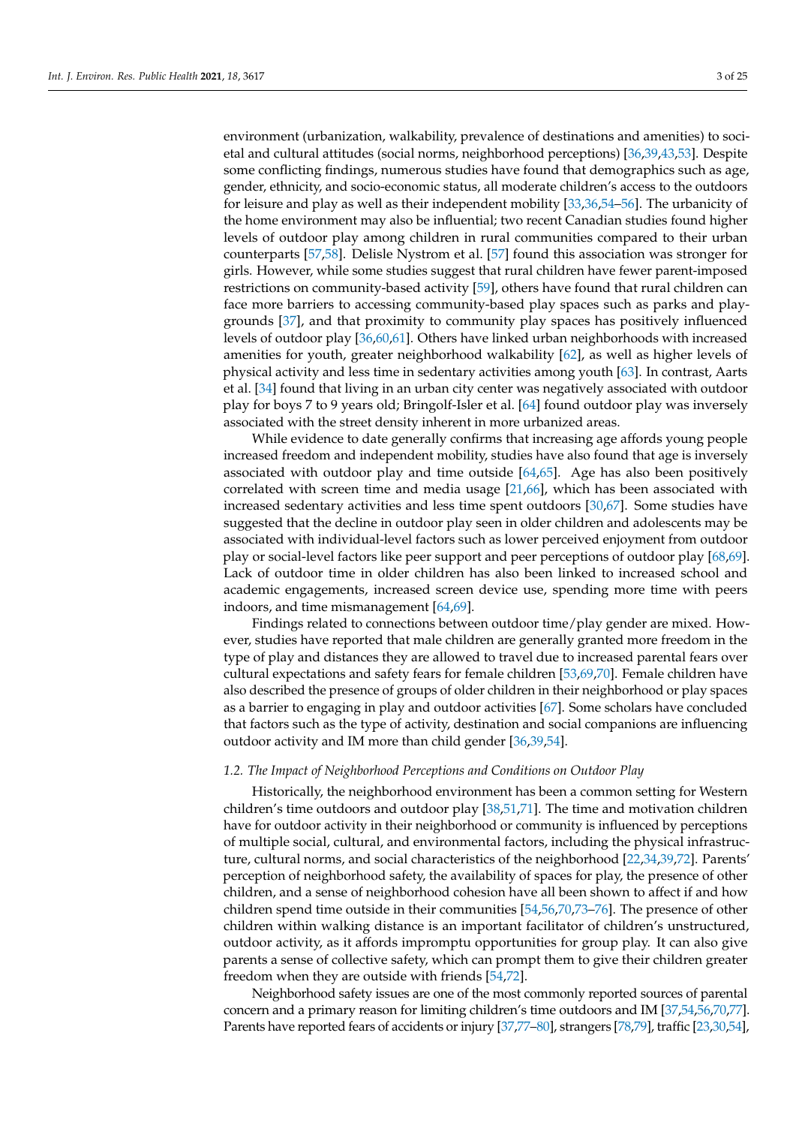environment (urbanization, walkability, prevalence of destinations and amenities) to societal and cultural attitudes (social norms, neighborhood perceptions) [\[36](#page-20-20)[,39,](#page-20-21)[43,](#page-20-19)[53\]](#page-21-8). Despite some conflicting findings, numerous studies have found that demographics such as age, gender, ethnicity, and socio-economic status, all moderate children's access to the outdoors for leisure and play as well as their independent mobility [\[33](#page-20-13)[,36](#page-20-20)[,54–](#page-21-9)[56\]](#page-21-10). The urbanicity of the home environment may also be influential; two recent Canadian studies found higher levels of outdoor play among children in rural communities compared to their urban counterparts [\[57,](#page-21-11)[58\]](#page-21-12). Delisle Nystrom et al. [\[57\]](#page-21-11) found this association was stronger for girls. However, while some studies suggest that rural children have fewer parent-imposed restrictions on community-based activity [\[59\]](#page-21-13), others have found that rural children can face more barriers to accessing community-based play spaces such as parks and playgrounds [\[37\]](#page-20-22), and that proximity to community play spaces has positively influenced levels of outdoor play [\[36,](#page-20-20)[60,](#page-21-14)[61\]](#page-21-15). Others have linked urban neighborhoods with increased amenities for youth, greater neighborhood walkability [\[62\]](#page-21-16), as well as higher levels of physical activity and less time in sedentary activities among youth [\[63\]](#page-21-17). In contrast, Aarts et al. [\[34\]](#page-20-14) found that living in an urban city center was negatively associated with outdoor play for boys 7 to 9 years old; Bringolf-Isler et al. [\[64\]](#page-21-18) found outdoor play was inversely associated with the street density inherent in more urbanized areas.

While evidence to date generally confirms that increasing age affords young people increased freedom and independent mobility, studies have also found that age is inversely associated with outdoor play and time outside  $[64,65]$  $[64,65]$ . Age has also been positively correlated with screen time and media usage [\[21](#page-20-3)[,66\]](#page-21-20), which has been associated with increased sedentary activities and less time spent outdoors [\[30,](#page-20-11)[67\]](#page-21-21). Some studies have suggested that the decline in outdoor play seen in older children and adolescents may be associated with individual-level factors such as lower perceived enjoyment from outdoor play or social-level factors like peer support and peer perceptions of outdoor play [\[68,](#page-21-22)[69\]](#page-22-0). Lack of outdoor time in older children has also been linked to increased school and academic engagements, increased screen device use, spending more time with peers indoors, and time mismanagement [\[64](#page-21-18)[,69\]](#page-22-0).

Findings related to connections between outdoor time/play gender are mixed. However, studies have reported that male children are generally granted more freedom in the type of play and distances they are allowed to travel due to increased parental fears over cultural expectations and safety fears for female children [\[53,](#page-21-8)[69](#page-22-0)[,70\]](#page-22-1). Female children have also described the presence of groups of older children in their neighborhood or play spaces as a barrier to engaging in play and outdoor activities [\[67\]](#page-21-21). Some scholars have concluded that factors such as the type of activity, destination and social companions are influencing outdoor activity and IM more than child gender [\[36,](#page-20-20)[39,](#page-20-21)[54\]](#page-21-9).

#### *1.2. The Impact of Neighborhood Perceptions and Conditions on Outdoor Play*

Historically, the neighborhood environment has been a common setting for Western children's time outdoors and outdoor play [\[38,](#page-20-23)[51,](#page-21-6)[71\]](#page-22-2). The time and motivation children have for outdoor activity in their neighborhood or community is influenced by perceptions of multiple social, cultural, and environmental factors, including the physical infrastructure, cultural norms, and social characteristics of the neighborhood [\[22,](#page-20-4)[34,](#page-20-14)[39,](#page-20-21)[72\]](#page-22-3). Parents' perception of neighborhood safety, the availability of spaces for play, the presence of other children, and a sense of neighborhood cohesion have all been shown to affect if and how children spend time outside in their communities [\[54,](#page-21-9)[56,](#page-21-10)[70](#page-22-1)[,73–](#page-22-4)[76\]](#page-22-5). The presence of other children within walking distance is an important facilitator of children's unstructured, outdoor activity, as it affords impromptu opportunities for group play. It can also give parents a sense of collective safety, which can prompt them to give their children greater freedom when they are outside with friends [\[54](#page-21-9)[,72\]](#page-22-3).

Neighborhood safety issues are one of the most commonly reported sources of parental concern and a primary reason for limiting children's time outdoors and IM [\[37](#page-20-22)[,54](#page-21-9)[,56](#page-21-10)[,70](#page-22-1)[,77\]](#page-22-6). Parents have reported fears of accidents or injury [\[37,](#page-20-22)[77–](#page-22-6)[80\]](#page-22-7), strangers [\[78](#page-22-8)[,79\]](#page-22-9), traffic [\[23](#page-20-24)[,30](#page-20-11)[,54\]](#page-21-9),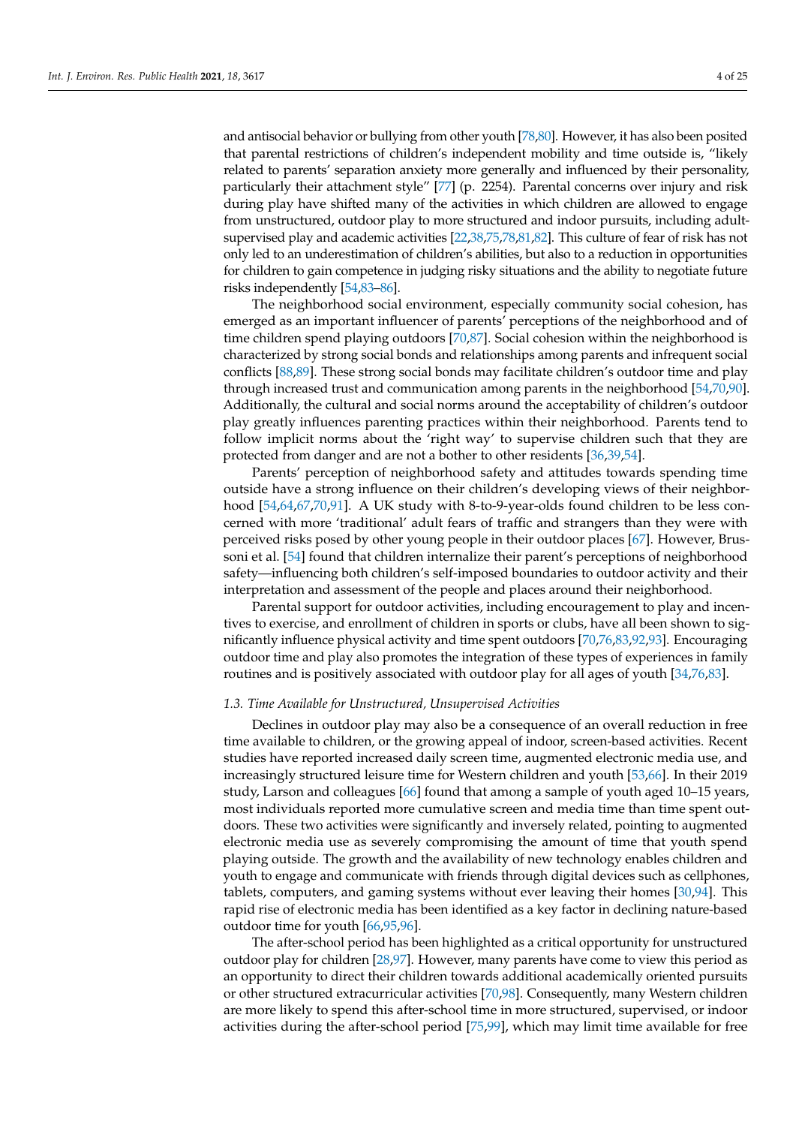and antisocial behavior or bullying from other youth [\[78,](#page-22-8)[80\]](#page-22-7). However, it has also been posited that parental restrictions of children's independent mobility and time outside is, "likely related to parents' separation anxiety more generally and influenced by their personality, particularly their attachment style" [\[77\]](#page-22-6) (p. 2254). Parental concerns over injury and risk during play have shifted many of the activities in which children are allowed to engage from unstructured, outdoor play to more structured and indoor pursuits, including adultsupervised play and academic activities [\[22,](#page-20-4)[38,](#page-20-23)[75,](#page-22-10)[78,](#page-22-8)[81](#page-22-11)[,82\]](#page-22-12). This culture of fear of risk has not only led to an underestimation of children's abilities, but also to a reduction in opportunities for children to gain competence in judging risky situations and the ability to negotiate future risks independently [\[54,](#page-21-9)[83–](#page-22-13)[86\]](#page-22-14).

The neighborhood social environment, especially community social cohesion, has emerged as an important influencer of parents' perceptions of the neighborhood and of time children spend playing outdoors [\[70,](#page-22-1)[87\]](#page-22-15). Social cohesion within the neighborhood is characterized by strong social bonds and relationships among parents and infrequent social conflicts [\[88,](#page-22-16)[89\]](#page-22-17). These strong social bonds may facilitate children's outdoor time and play through increased trust and communication among parents in the neighborhood [\[54,](#page-21-9)[70](#page-22-1)[,90\]](#page-22-18). Additionally, the cultural and social norms around the acceptability of children's outdoor play greatly influences parenting practices within their neighborhood. Parents tend to follow implicit norms about the 'right way' to supervise children such that they are protected from danger and are not a bother to other residents [\[36](#page-20-20)[,39](#page-20-21)[,54\]](#page-21-9).

Parents' perception of neighborhood safety and attitudes towards spending time outside have a strong influence on their children's developing views of their neighborhood [\[54,](#page-21-9)[64,](#page-21-18)[67,](#page-21-21)[70,](#page-22-1)[91\]](#page-22-19). A UK study with 8-to-9-year-olds found children to be less concerned with more 'traditional' adult fears of traffic and strangers than they were with perceived risks posed by other young people in their outdoor places [\[67\]](#page-21-21). However, Brussoni et al. [\[54\]](#page-21-9) found that children internalize their parent's perceptions of neighborhood safety—influencing both children's self-imposed boundaries to outdoor activity and their interpretation and assessment of the people and places around their neighborhood.

Parental support for outdoor activities, including encouragement to play and incentives to exercise, and enrollment of children in sports or clubs, have all been shown to significantly influence physical activity and time spent outdoors [\[70,](#page-22-1)[76](#page-22-5)[,83](#page-22-13)[,92](#page-22-20)[,93\]](#page-22-21). Encouraging outdoor time and play also promotes the integration of these types of experiences in family routines and is positively associated with outdoor play for all ages of youth [\[34](#page-20-14)[,76](#page-22-5)[,83\]](#page-22-13).

#### *1.3. Time Available for Unstructured, Unsupervised Activities*

Declines in outdoor play may also be a consequence of an overall reduction in free time available to children, or the growing appeal of indoor, screen-based activities. Recent studies have reported increased daily screen time, augmented electronic media use, and increasingly structured leisure time for Western children and youth [\[53](#page-21-8)[,66\]](#page-21-20). In their 2019 study, Larson and colleagues [\[66\]](#page-21-20) found that among a sample of youth aged 10–15 years, most individuals reported more cumulative screen and media time than time spent outdoors. These two activities were significantly and inversely related, pointing to augmented electronic media use as severely compromising the amount of time that youth spend playing outside. The growth and the availability of new technology enables children and youth to engage and communicate with friends through digital devices such as cellphones, tablets, computers, and gaming systems without ever leaving their homes [\[30](#page-20-11)[,94\]](#page-22-22). This rapid rise of electronic media has been identified as a key factor in declining nature-based outdoor time for youth [\[66,](#page-21-20)[95](#page-22-23)[,96\]](#page-23-0).

The after-school period has been highlighted as a critical opportunity for unstructured outdoor play for children [\[28,](#page-20-9)[97\]](#page-23-1). However, many parents have come to view this period as an opportunity to direct their children towards additional academically oriented pursuits or other structured extracurricular activities [\[70,](#page-22-1)[98\]](#page-23-2). Consequently, many Western children are more likely to spend this after-school time in more structured, supervised, or indoor activities during the after-school period [\[75,](#page-22-10)[99\]](#page-23-3), which may limit time available for free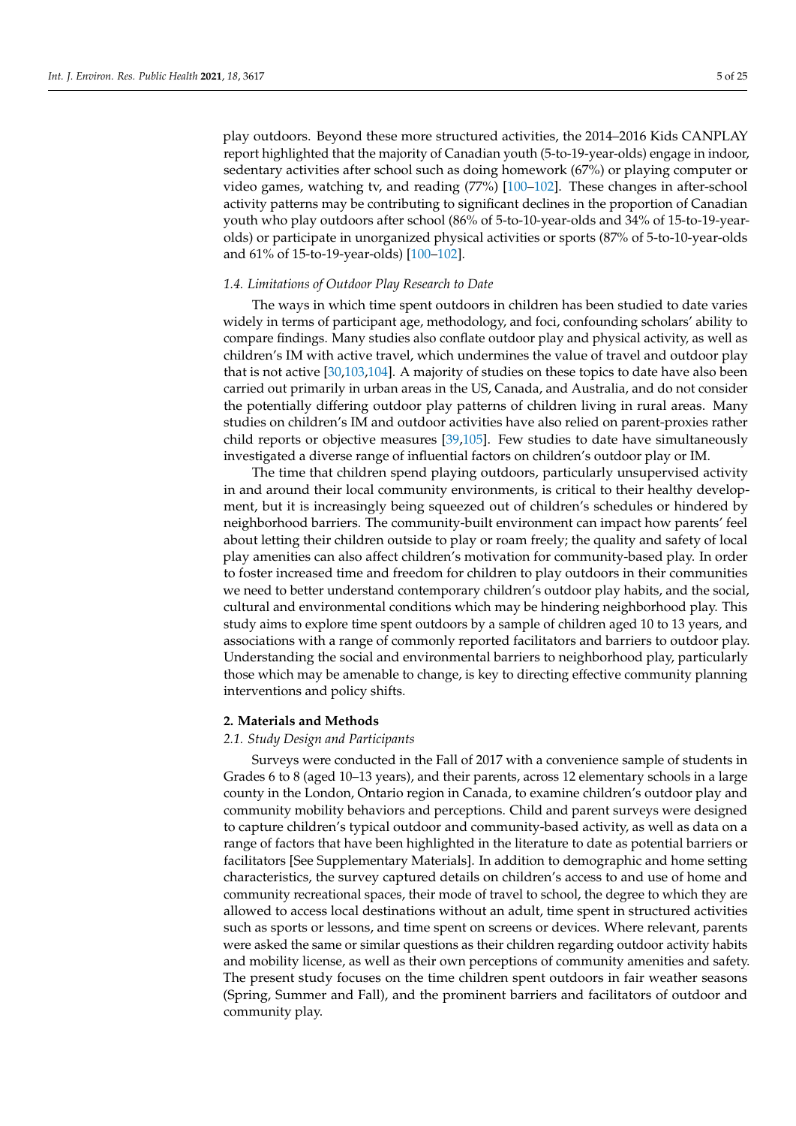play outdoors. Beyond these more structured activities, the 2014–2016 Kids CANPLAY report highlighted that the majority of Canadian youth (5-to-19-year-olds) engage in indoor, sedentary activities after school such as doing homework (67%) or playing computer or video games, watching tv, and reading (77%) [\[100–](#page-23-4)[102\]](#page-23-5). These changes in after-school activity patterns may be contributing to significant declines in the proportion of Canadian youth who play outdoors after school (86% of 5-to-10-year-olds and 34% of 15-to-19-yearolds) or participate in unorganized physical activities or sports (87% of 5-to-10-year-olds and 61% of 15-to-19-year-olds) [\[100](#page-23-4)[–102\]](#page-23-5).

# *1.4. Limitations of Outdoor Play Research to Date*

The ways in which time spent outdoors in children has been studied to date varies widely in terms of participant age, methodology, and foci, confounding scholars' ability to compare findings. Many studies also conflate outdoor play and physical activity, as well as children's IM with active travel, which undermines the value of travel and outdoor play that is not active [\[30](#page-20-11)[,103](#page-23-6)[,104\]](#page-23-7). A majority of studies on these topics to date have also been carried out primarily in urban areas in the US, Canada, and Australia, and do not consider the potentially differing outdoor play patterns of children living in rural areas. Many studies on children's IM and outdoor activities have also relied on parent-proxies rather child reports or objective measures [\[39,](#page-20-21)[105\]](#page-23-8). Few studies to date have simultaneously investigated a diverse range of influential factors on children's outdoor play or IM.

The time that children spend playing outdoors, particularly unsupervised activity in and around their local community environments, is critical to their healthy development, but it is increasingly being squeezed out of children's schedules or hindered by neighborhood barriers. The community-built environment can impact how parents' feel about letting their children outside to play or roam freely; the quality and safety of local play amenities can also affect children's motivation for community-based play. In order to foster increased time and freedom for children to play outdoors in their communities we need to better understand contemporary children's outdoor play habits, and the social, cultural and environmental conditions which may be hindering neighborhood play. This study aims to explore time spent outdoors by a sample of children aged 10 to 13 years, and associations with a range of commonly reported facilitators and barriers to outdoor play. Understanding the social and environmental barriers to neighborhood play, particularly those which may be amenable to change, is key to directing effective community planning interventions and policy shifts.

#### **2. Materials and Methods**

#### *2.1. Study Design and Participants*

Surveys were conducted in the Fall of 2017 with a convenience sample of students in Grades 6 to 8 (aged 10–13 years), and their parents, across 12 elementary schools in a large county in the London, Ontario region in Canada, to examine children's outdoor play and community mobility behaviors and perceptions. Child and parent surveys were designed to capture children's typical outdoor and community-based activity, as well as data on a range of factors that have been highlighted in the literature to date as potential barriers or facilitators [See Supplementary Materials]. In addition to demographic and home setting characteristics, the survey captured details on children's access to and use of home and community recreational spaces, their mode of travel to school, the degree to which they are allowed to access local destinations without an adult, time spent in structured activities such as sports or lessons, and time spent on screens or devices. Where relevant, parents were asked the same or similar questions as their children regarding outdoor activity habits and mobility license, as well as their own perceptions of community amenities and safety. The present study focuses on the time children spent outdoors in fair weather seasons (Spring, Summer and Fall), and the prominent barriers and facilitators of outdoor and community play.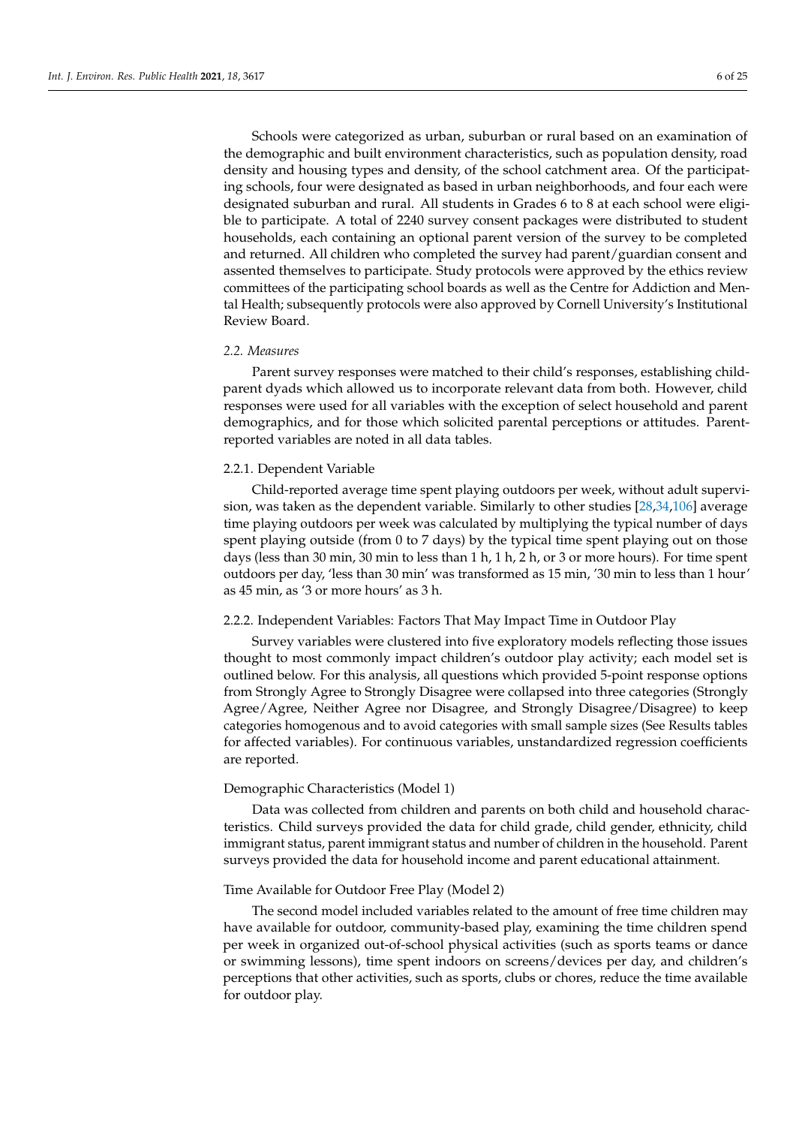Schools were categorized as urban, suburban or rural based on an examination of the demographic and built environment characteristics, such as population density, road density and housing types and density, of the school catchment area. Of the participating schools, four were designated as based in urban neighborhoods, and four each were designated suburban and rural. All students in Grades 6 to 8 at each school were eligible to participate. A total of 2240 survey consent packages were distributed to student households, each containing an optional parent version of the survey to be completed and returned. All children who completed the survey had parent/guardian consent and assented themselves to participate. Study protocols were approved by the ethics review committees of the participating school boards as well as the Centre for Addiction and Mental Health; subsequently protocols were also approved by Cornell University's Institutional Review Board.

#### *2.2. Measures*

Parent survey responses were matched to their child's responses, establishing childparent dyads which allowed us to incorporate relevant data from both. However, child responses were used for all variables with the exception of select household and parent demographics, and for those which solicited parental perceptions or attitudes. Parentreported variables are noted in all data tables.

#### 2.2.1. Dependent Variable

Child-reported average time spent playing outdoors per week, without adult supervision, was taken as the dependent variable. Similarly to other studies [\[28,](#page-20-9)[34,](#page-20-14)[106\]](#page-23-9) average time playing outdoors per week was calculated by multiplying the typical number of days spent playing outside (from 0 to 7 days) by the typical time spent playing out on those days (less than 30 min, 30 min to less than 1 h, 1 h, 2 h, or 3 or more hours). For time spent outdoors per day, 'less than 30 min' was transformed as 15 min, '30 min to less than 1 hour' as 45 min, as '3 or more hours' as 3 h.

# 2.2.2. Independent Variables: Factors That May Impact Time in Outdoor Play

Survey variables were clustered into five exploratory models reflecting those issues thought to most commonly impact children's outdoor play activity; each model set is outlined below. For this analysis, all questions which provided 5-point response options from Strongly Agree to Strongly Disagree were collapsed into three categories (Strongly Agree/Agree, Neither Agree nor Disagree, and Strongly Disagree/Disagree) to keep categories homogenous and to avoid categories with small sample sizes (See Results tables for affected variables). For continuous variables, unstandardized regression coefficients are reported.

### Demographic Characteristics (Model 1)

Data was collected from children and parents on both child and household characteristics. Child surveys provided the data for child grade, child gender, ethnicity, child immigrant status, parent immigrant status and number of children in the household. Parent surveys provided the data for household income and parent educational attainment.

# Time Available for Outdoor Free Play (Model 2)

The second model included variables related to the amount of free time children may have available for outdoor, community-based play, examining the time children spend per week in organized out-of-school physical activities (such as sports teams or dance or swimming lessons), time spent indoors on screens/devices per day, and children's perceptions that other activities, such as sports, clubs or chores, reduce the time available for outdoor play.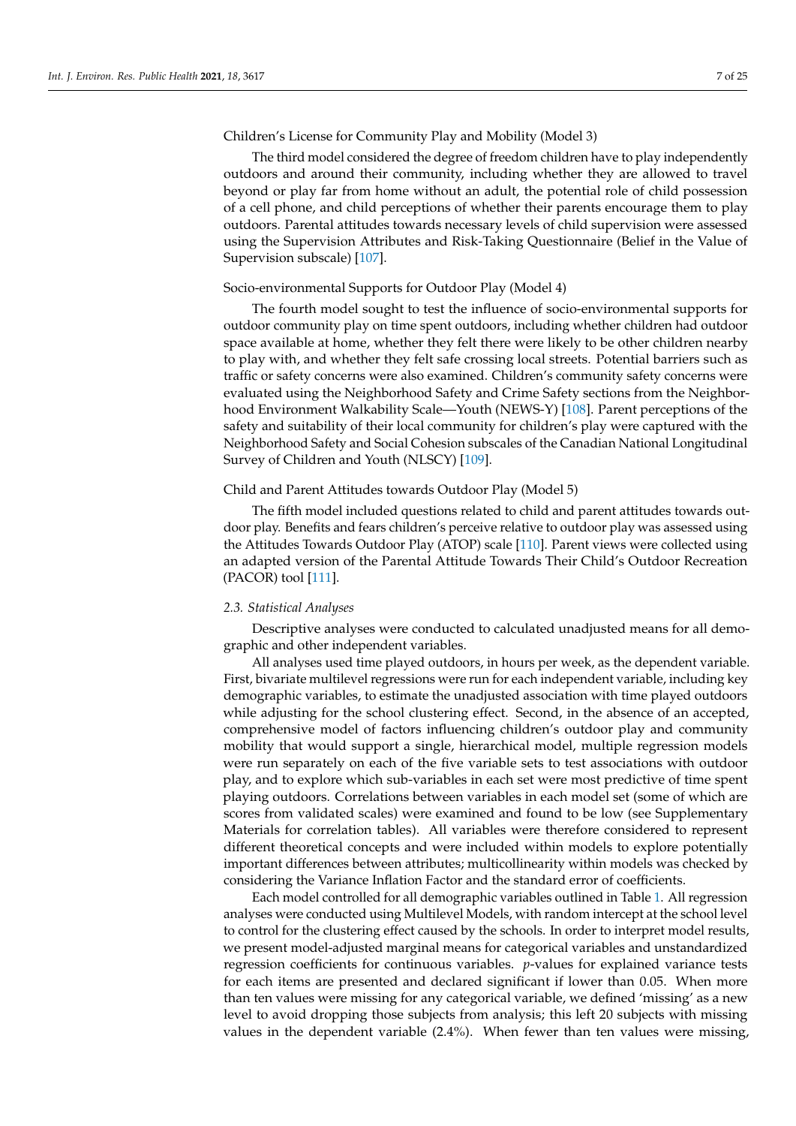# Children's License for Community Play and Mobility (Model 3)

The third model considered the degree of freedom children have to play independently outdoors and around their community, including whether they are allowed to travel beyond or play far from home without an adult, the potential role of child possession of a cell phone, and child perceptions of whether their parents encourage them to play outdoors. Parental attitudes towards necessary levels of child supervision were assessed using the Supervision Attributes and Risk-Taking Questionnaire (Belief in the Value of Supervision subscale) [\[107\]](#page-23-10).

# Socio-environmental Supports for Outdoor Play (Model 4)

The fourth model sought to test the influence of socio-environmental supports for outdoor community play on time spent outdoors, including whether children had outdoor space available at home, whether they felt there were likely to be other children nearby to play with, and whether they felt safe crossing local streets. Potential barriers such as traffic or safety concerns were also examined. Children's community safety concerns were evaluated using the Neighborhood Safety and Crime Safety sections from the Neighborhood Environment Walkability Scale—Youth (NEWS-Y) [\[108\]](#page-23-11). Parent perceptions of the safety and suitability of their local community for children's play were captured with the Neighborhood Safety and Social Cohesion subscales of the Canadian National Longitudinal Survey of Children and Youth (NLSCY) [\[109\]](#page-23-12).

#### Child and Parent Attitudes towards Outdoor Play (Model 5)

The fifth model included questions related to child and parent attitudes towards outdoor play. Benefits and fears children's perceive relative to outdoor play was assessed using the Attitudes Towards Outdoor Play (ATOP) scale [\[110\]](#page-23-13). Parent views were collected using an adapted version of the Parental Attitude Towards Their Child's Outdoor Recreation (PACOR) tool [\[111\]](#page-23-14).

#### *2.3. Statistical Analyses*

Descriptive analyses were conducted to calculated unadjusted means for all demographic and other independent variables.

All analyses used time played outdoors, in hours per week, as the dependent variable. First, bivariate multilevel regressions were run for each independent variable, including key demographic variables, to estimate the unadjusted association with time played outdoors while adjusting for the school clustering effect. Second, in the absence of an accepted, comprehensive model of factors influencing children's outdoor play and community mobility that would support a single, hierarchical model, multiple regression models were run separately on each of the five variable sets to test associations with outdoor play, and to explore which sub-variables in each set were most predictive of time spent playing outdoors. Correlations between variables in each model set (some of which are scores from validated scales) were examined and found to be low (see Supplementary Materials for correlation tables). All variables were therefore considered to represent different theoretical concepts and were included within models to explore potentially important differences between attributes; multicollinearity within models was checked by considering the Variance Inflation Factor and the standard error of coefficients.

Each model controlled for all demographic variables outlined in Table [1.](#page-7-0) All regression analyses were conducted using Multilevel Models, with random intercept at the school level to control for the clustering effect caused by the schools. In order to interpret model results, we present model-adjusted marginal means for categorical variables and unstandardized regression coefficients for continuous variables. *p*-values for explained variance tests for each items are presented and declared significant if lower than 0.05. When more than ten values were missing for any categorical variable, we defined 'missing' as a new level to avoid dropping those subjects from analysis; this left 20 subjects with missing values in the dependent variable (2.4%). When fewer than ten values were missing,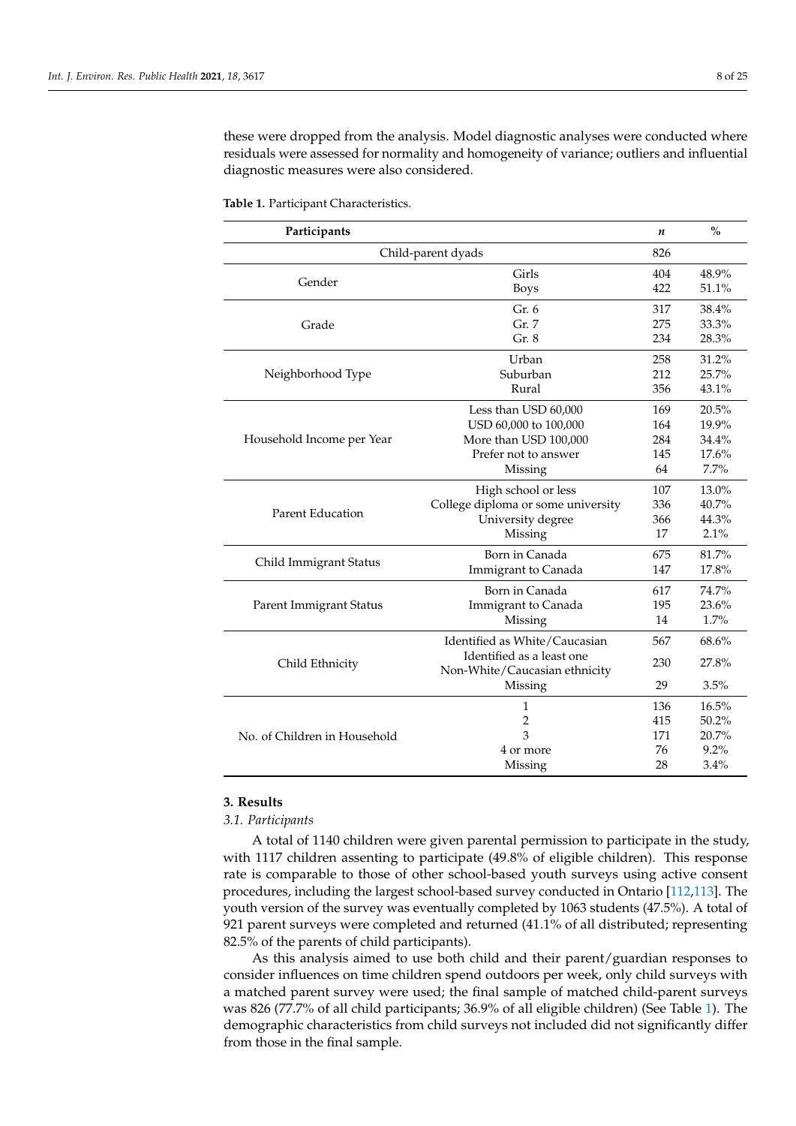these were dropped from the analysis. Model diagnostic analyses were conducted where residuals were assessed for normality and homogeneity of variance; outliers and influential diagnostic measures were also considered.

| Participants                 |                                    | n   | $\frac{0}{0}$ |
|------------------------------|------------------------------------|-----|---------------|
|                              | Child-parent dyads                 | 826 |               |
|                              | Girls                              | 404 | 48.9%         |
| Gender                       | <b>Boys</b>                        | 422 | 51.1%         |
|                              | Gr. 6                              | 317 | 38.4%         |
| Grade                        | Gr. 7                              | 275 | 33.3%         |
|                              | Gr. 8                              | 234 | 28.3%         |
|                              | Urban                              | 258 | 31.2%         |
| Neighborhood Type            | Suburban                           | 212 | 25.7%         |
|                              | Rural                              | 356 | 43.1%         |
|                              | Less than USD 60,000               | 169 | 20.5%         |
|                              | USD 60,000 to 100,000              | 164 | 19.9%         |
| Household Income per Year    | More than USD 100,000              | 284 | 34.4%         |
|                              | Prefer not to answer               | 145 | 17.6%         |
|                              | Missing                            | 64  | 7.7%          |
|                              | High school or less                | 107 | 13.0%         |
|                              | College diploma or some university | 336 | 40.7%         |
| <b>Parent Education</b>      | University degree                  | 366 | 44.3%         |
|                              | Missing                            | 17  | 2.1%          |
|                              | Born in Canada                     | 675 | 81.7%         |
| Child Immigrant Status       | Immigrant to Canada                | 147 | 17.8%         |
|                              | Born in Canada                     | 617 | 74.7%         |
| Parent Immigrant Status      | Immigrant to Canada                | 195 | 23.6%         |
|                              | Missing                            | 14  | 1.7%          |
|                              | Identified as White/Caucasian      | 567 | 68.6%         |
| Child Ethnicity              | Identified as a least one          | 230 | 27.8%         |
|                              | Non-White/Caucasian ethnicity      |     |               |
|                              | Missing                            | 29  | 3.5%          |
|                              | 1                                  | 136 | 16.5%         |
|                              | $\overline{c}$                     | 415 | 50.2%         |
| No. of Children in Household | 3                                  | 171 | 20.7%         |
|                              | 4 or more                          | 76  | $9.2\%$       |
|                              | Missing                            | 28  | 3.4%          |

<span id="page-7-0"></span>**Table 1.** Participant Characteristics.

#### **3. Results**

*3.1. Participants*

A total of 1140 children were given parental permission to participate in the study, with 1117 children assenting to participate (49.8% of eligible children). This response rate is comparable to those of other school-based youth surveys using active consent procedures, including the largest school-based survey conducted in Ontario [\[112,](#page-23-15)[113\]](#page-23-16). The youth version of the survey was eventually completed by 1063 students (47.5%). A total of 921 parent surveys were completed and returned (41.1% of all distributed; representing 82.5% of the parents of child participants).

As this analysis aimed to use both child and their parent/guardian responses to consider influences on time children spend outdoors per week, only child surveys with a matched parent survey were used; the final sample of matched child-parent surveys was 826 (77.7% of all child participants; 36.9% of all eligible children) (See Table [1\)](#page-7-0). The demographic characteristics from child surveys not included did not significantly differ from those in the final sample.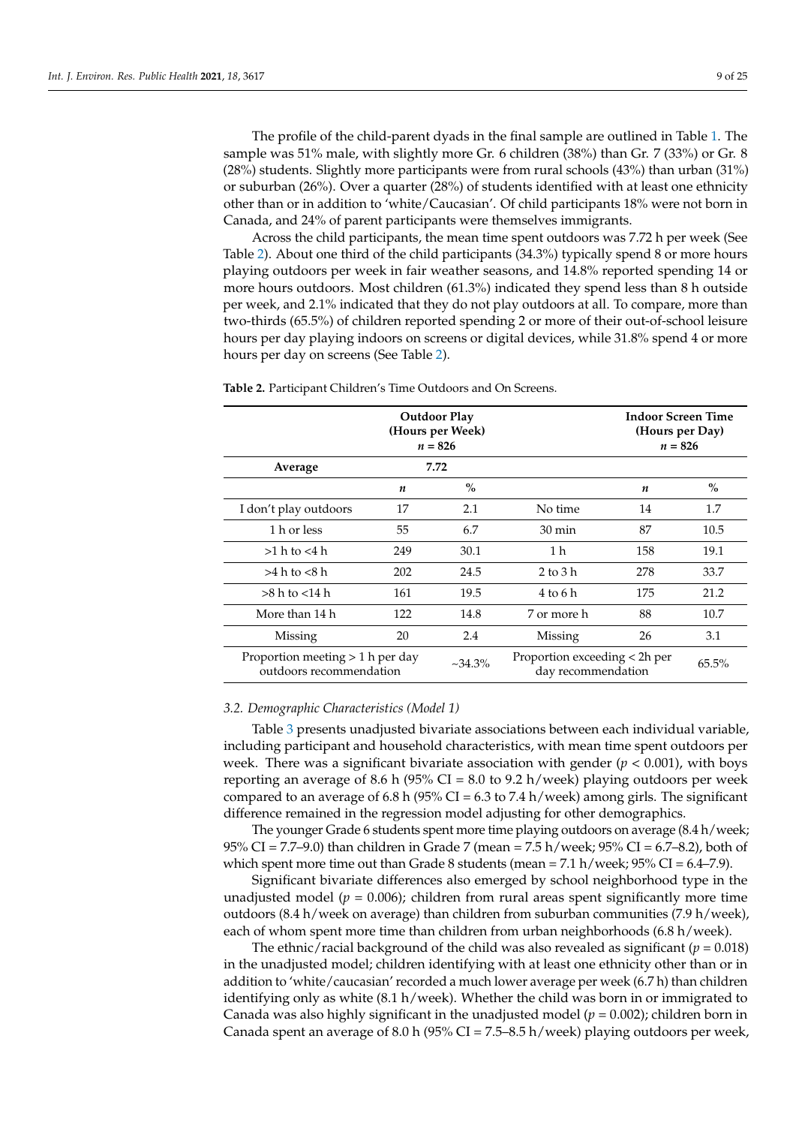The profile of the child-parent dyads in the final sample are outlined in Table [1.](#page-7-0) The sample was 51% male, with slightly more Gr. 6 children (38%) than Gr. 7 (33%) or Gr. 8 (28%) students. Slightly more participants were from rural schools (43%) than urban (31%) or suburban (26%). Over a quarter (28%) of students identified with at least one ethnicity other than or in addition to 'white/Caucasian'. Of child participants 18% were not born in Canada, and 24% of parent participants were themselves immigrants.

Across the child participants, the mean time spent outdoors was 7.72 h per week (See Table [2\)](#page-8-0). About one third of the child participants (34.3%) typically spend 8 or more hours playing outdoors per week in fair weather seasons, and 14.8% reported spending 14 or more hours outdoors. Most children (61.3%) indicated they spend less than 8 h outside per week, and 2.1% indicated that they do not play outdoors at all. To compare, more than two-thirds (65.5%) of children reported spending 2 or more of their out-of-school leisure hours per day playing indoors on screens or digital devices, while 31.8% spend 4 or more hours per day on screens (See Table [2\)](#page-8-0).

<span id="page-8-0"></span>**Table 2.** Participant Children's Time Outdoors and On Screens.

|                                                               |                  | <b>Indoor Screen Time</b><br>(Hours per Day)<br>$n = 826$ |                                                     |                  |       |
|---------------------------------------------------------------|------------------|-----------------------------------------------------------|-----------------------------------------------------|------------------|-------|
| Average                                                       | 7.72             |                                                           |                                                     |                  |       |
|                                                               | $\boldsymbol{n}$ | $\%$                                                      |                                                     | $\boldsymbol{n}$ | $\%$  |
| I don't play outdoors                                         | 17               | 2.1                                                       | No time                                             | 14               | 1.7   |
| 1 h or less                                                   | 55               | 6.7                                                       | $30 \text{ min}$                                    | 87               | 10.5  |
| $>1$ h to $<$ 4 h                                             | 249              | 30.1                                                      | 1 h                                                 | 158              | 19.1  |
| >4 h to < 8 h                                                 | 202              | 24.5                                                      | $2 \text{ to } 3 \text{ h}$                         | 278              | 33.7  |
| $>8$ h to $<$ 14 h                                            | 161              | 19.5                                                      | 4 to 6 h                                            | 175              | 21.2  |
| More than 14 h                                                | 122              | 14.8                                                      | 7 or more h                                         | 88               | 10.7  |
| Missing                                                       | 20               | 2.4                                                       | Missing                                             | 26               | 3.1   |
| Proportion meeting $> 1$ h per day<br>outdoors recommendation |                  | $~234.3\%$                                                | Proportion exceeding < 2h per<br>day recommendation |                  | 65.5% |

#### *3.2. Demographic Characteristics (Model 1)*

Table [3](#page-9-0) presents unadjusted bivariate associations between each individual variable, including participant and household characteristics, with mean time spent outdoors per week. There was a significant bivariate association with gender  $(p < 0.001)$ , with boys reporting an average of 8.6 h (95% CI = 8.0 to 9.2 h/week) playing outdoors per week compared to an average of 6.8 h (95% CI = 6.3 to 7.4 h/week) among girls. The significant difference remained in the regression model adjusting for other demographics.

The younger Grade 6 students spent more time playing outdoors on average (8.4 h/week; 95% CI = 7.7–9.0) than children in Grade 7 (mean = 7.5 h/week; 95% CI = 6.7–8.2), both of which spent more time out than Grade 8 students (mean =  $7.1$  h/week;  $95\%$  CI =  $6.4-7.9$ ).

Significant bivariate differences also emerged by school neighborhood type in the unadjusted model ( $p = 0.006$ ); children from rural areas spent significantly more time outdoors (8.4 h/week on average) than children from suburban communities (7.9 h/week), each of whom spent more time than children from urban neighborhoods (6.8 h/week).

The ethnic/racial background of the child was also revealed as significant  $(p = 0.018)$ in the unadjusted model; children identifying with at least one ethnicity other than or in addition to 'white/caucasian' recorded a much lower average per week (6.7 h) than children identifying only as white (8.1 h/week). Whether the child was born in or immigrated to Canada was also highly significant in the unadjusted model  $(p = 0.002)$ ; children born in Canada spent an average of 8.0 h (95% CI = 7.5–8.5 h/week) playing outdoors per week,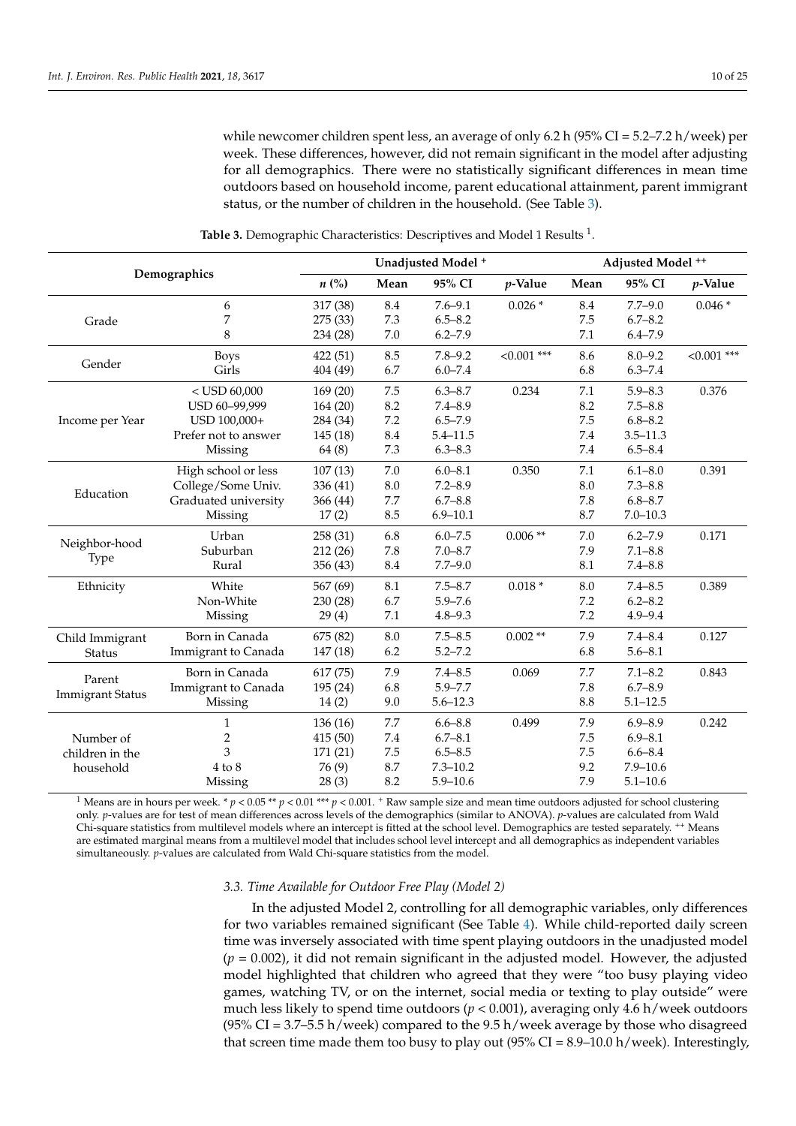while newcomer children spent less, an average of only 6.2 h (95% CI = 5.2–7.2 h/week) per week. These differences, however, did not remain significant in the model after adjusting for all demographics. There were no statistically significant differences in mean time outdoors based on household income, parent educational attainment, parent immigrant status, or the number of children in the household. (See Table [3\)](#page-9-0).

<span id="page-9-0"></span>

| Demographics            |                      |                    |         | Unadjusted Model <sup>+</sup> |               | Adjusted Model <sup>++</sup> |              |               |  |
|-------------------------|----------------------|--------------------|---------|-------------------------------|---------------|------------------------------|--------------|---------------|--|
|                         |                      | $n\left(\%\right)$ | Mean    | 95% CI                        | $p$ -Value    | Mean                         | 95% CI       | p-Value       |  |
|                         | 6                    | 317 (38)           | 8.4     | $7.6 - 9.1$                   | $0.026*$      | 8.4                          | $7.7 - 9.0$  | $0.046*$      |  |
| Grade                   | 7                    | 275 (33)           | 7.3     | $6.5 - 8.2$                   |               | 7.5                          | $6.7 - 8.2$  |               |  |
|                         | 8                    | 234 (28)           | $7.0\,$ | $6.2 - 7.9$                   |               | 7.1                          | $6.4 - 7.9$  |               |  |
| Gender                  | <b>Boys</b>          | 422 (51)           | 8.5     | $7.8 - 9.2$                   | $< 0.001$ *** | 8.6                          | $8.0 - 9.2$  | $< 0.001$ *** |  |
|                         | Girls                | 404 (49)           | 6.7     | $6.0 - 7.4$                   |               | 6.8                          | $6.3 - 7.4$  |               |  |
|                         | $<$ USD 60,000       | 169(20)            | $7.5\,$ | $6.3 - 8.7$                   | 0.234         | 7.1                          | $5.9 - 8.3$  | 0.376         |  |
|                         | USD 60-99,999        | 164(20)            | 8.2     | $7.4 - 8.9$                   |               | 8.2                          | $7.5 - 8.8$  |               |  |
| Income per Year         | USD 100,000+         | 284 (34)           | $7.2\,$ | $6.5 - 7.9$                   |               | 7.5                          | $6.8 - 8.2$  |               |  |
|                         | Prefer not to answer | 145(18)            | 8.4     | $5.4 - 11.5$                  |               | 7.4                          | $3.5 - 11.3$ |               |  |
|                         | Missing              | 64(8)              | 7.3     | $6.3 - 8.3$                   |               | 7.4                          | $6.5 - 8.4$  |               |  |
|                         | High school or less  | 107(13)            | $7.0\,$ | $6.0 - 8.1$                   | 0.350         | 7.1                          | $6.1 - 8.0$  | 0.391         |  |
|                         | College/Some Univ.   | 336 (41)           | 8.0     | $7.2 - 8.9$                   |               | 8.0                          | $7.3 - 8.8$  |               |  |
| Education               | Graduated university | 366 (44)           | 7.7     | $6.7 - 8.8$                   |               | 7.8                          | $6.8 - 8.7$  |               |  |
|                         | Missing              | 17(2)              | 8.5     | $6.9 - 10.1$                  |               | 8.7                          | $7.0 - 10.3$ |               |  |
| Neighbor-hood           | Urban                | 258 (31)           | 6.8     | $6.0 - 7.5$                   | $0.006$ **    | 7.0                          | $6.2 - 7.9$  | 0.171         |  |
|                         | Suburban             | 212(26)            | 7.8     | $7.0 - 8.7$                   |               | 7.9                          | $7.1 - 8.8$  |               |  |
| <b>Type</b>             | Rural                | 356 (43)           | 8.4     | $7.7 - 9.0$                   |               | 8.1                          | $7.4 - 8.8$  |               |  |
| Ethnicity               | White                | 567 (69)           | 8.1     | $7.5 - 8.7$                   | $0.018*$      | 8.0                          | $7.4 - 8.5$  | 0.389         |  |
|                         | Non-White            | 230 (28)           | 6.7     | $5.9 - 7.6$                   |               | 7.2                          | $6.2 - 8.2$  |               |  |
|                         | Missing              | 29(4)              | 7.1     | $4.8 - 9.3$                   |               | 7.2                          | $4.9 - 9.4$  |               |  |
| Child Immigrant         | Born in Canada       | 675 (82)           | 8.0     | $7.5 - 8.5$                   | $0.002$ **    | 7.9                          | $7.4 - 8.4$  | 0.127         |  |
| Status                  | Immigrant to Canada  | 147 (18)           | 6.2     | $5.2 - 7.2$                   |               | 6.8                          | $5.6 - 8.1$  |               |  |
| Parent                  | Born in Canada       | 617 (75)           | 7.9     | $7.4 - 8.5$                   | 0.069         | 7.7                          | $7.1 - 8.2$  | 0.843         |  |
| <b>Immigrant Status</b> | Immigrant to Canada  | 195 (24)           | 6.8     | $5.9 - 7.7$                   |               | 7.8                          | $6.7 - 8.9$  |               |  |
|                         | Missing              | 14(2)              | 9.0     | $5.6 - 12.3$                  |               | 8.8                          | $5.1 - 12.5$ |               |  |
|                         | $\mathbf{1}$         | 136(16)            | 7.7     | $6.6 - 8.8$                   | 0.499         | 7.9                          | $6.9 - 8.9$  | 0.242         |  |
| Number of               | $\overline{2}$       | 415(50)            | 7.4     | $6.7 - 8.1$                   |               | 7.5                          | $6.9 - 8.1$  |               |  |
| children in the         | 3                    | 171 (21)           | $7.5\,$ | $6.5 - 8.5$                   |               | 7.5                          | $6.6 - 8.4$  |               |  |
| household               | $4$ to $8$           | 76 (9)             | 8.7     | $7.3 - 10.2$                  |               | 9.2                          | $7.9 - 10.6$ |               |  |
|                         | Missing              | 28(3)              | 8.2     | $5.9 - 10.6$                  |               | 7.9                          | $5.1 - 10.6$ |               |  |

**Table 3.** Demographic Characteristics: Descriptives and Model 1 Results <sup>1</sup>.

<sup>1</sup> Means are in hours per week. \*  $p < 0.05$  \*\*  $p < 0.01$  \*\*\*  $p < 0.001$ . <sup>+</sup> Raw sample size and mean time outdoors adjusted for school clustering only. *p*-values are for test of mean differences across levels of the demographics (similar to ANOVA). *p*-values are calculated from Wald Chi-square statistics from multilevel models where an intercept is fitted at the school level. Demographics are tested separately. <sup>++</sup> Means are estimated marginal means from a multilevel model that includes school level intercept and all demographics as independent variables simultaneously. *p*-values are calculated from Wald Chi-square statistics from the model.

#### *3.3. Time Available for Outdoor Free Play (Model 2)*

In the adjusted Model 2, controlling for all demographic variables, only differences for two variables remained significant (See Table [4\)](#page-10-0). While child-reported daily screen time was inversely associated with time spent playing outdoors in the unadjusted model  $(p = 0.002)$ , it did not remain significant in the adjusted model. However, the adjusted model highlighted that children who agreed that they were "too busy playing video games, watching TV, or on the internet, social media or texting to play outside" were much less likely to spend time outdoors (*p* < 0.001), averaging only 4.6 h/week outdoors (95% CI = 3.7–5.5 h/week) compared to the 9.5 h/week average by those who disagreed that screen time made them too busy to play out  $(95\% CI = 8.9-10.0 \text{ h}/\text{week})$ . Interestingly,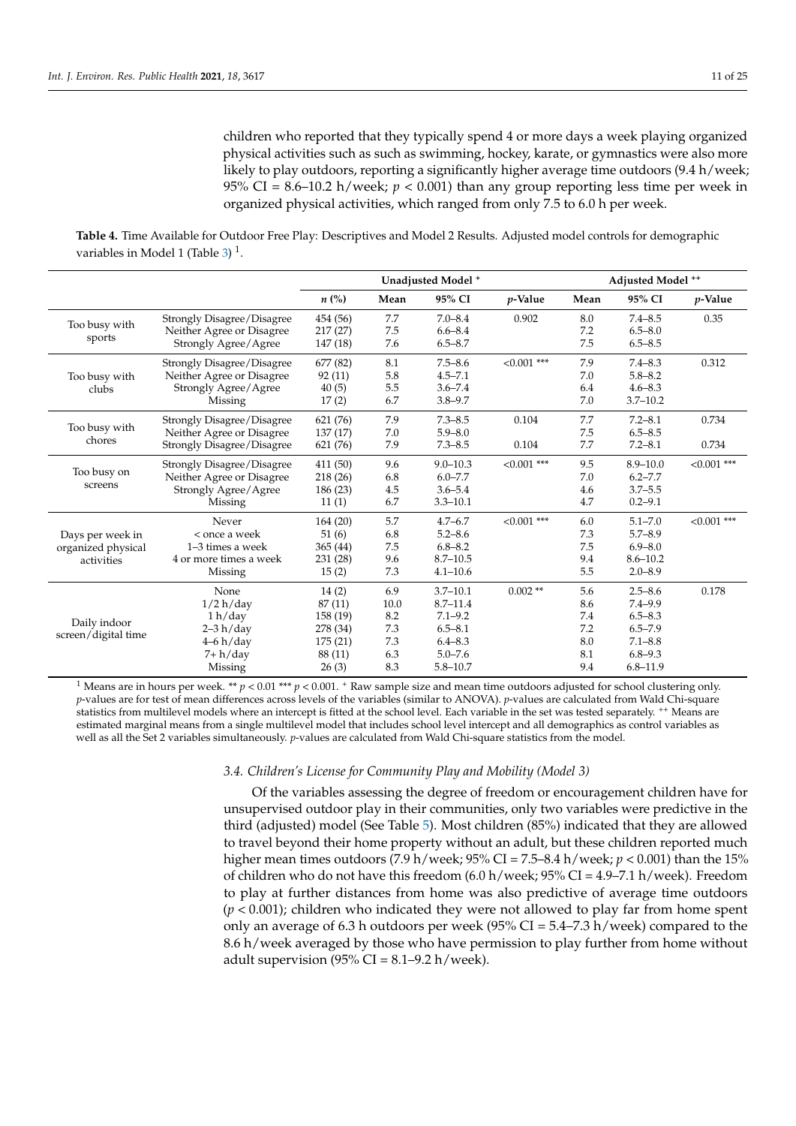children who reported that they typically spend 4 or more days a week playing organized physical activities such as such as swimming, hockey, karate, or gymnastics were also more likely to play outdoors, reporting a significantly higher average time outdoors  $(9.4 \text{ h}/\text{week})$ ; 95% CI =  $8.6$ –10.2 h/week;  $p < 0.001$ ) than any group reporting less time per week in organized physical activities, which ranged from only 7.5 to 6.0 h per week.

<span id="page-10-0"></span>**Table 4.** Time Available for Outdoor Free Play: Descriptives and Model 2 Results. Adjusted model controls for demographic variables in Model 1 (Table [3\)](#page-9-0)<sup>1</sup>.

|                     |                                   | Unadjusted Model <sup>+</sup> |      |              |               | Adjusted Model ++ |              |               |
|---------------------|-----------------------------------|-------------------------------|------|--------------|---------------|-------------------|--------------|---------------|
|                     |                                   | $n\left(\%\right)$            | Mean | 95% CI       | $p$ -Value    | Mean              | 95% CI       | $p$ -Value    |
|                     | Strongly Disagree/Disagree        | 454 (56)                      | 7.7  | $7.0 - 8.4$  | 0.902         | 8.0               | $7.4 - 8.5$  | 0.35          |
| Too busy with       | Neither Agree or Disagree         | 217(27)                       | 7.5  | $6.6 - 8.4$  |               | 7.2               | $6.5 - 8.0$  |               |
| sports              | Strongly Agree/Agree              | 147 (18)                      | 7.6  | $6.5 - 8.7$  |               | 7.5               | $6.5 - 8.5$  |               |
|                     | Strongly Disagree/Disagree        | 677 (82)                      | 8.1  | $7.5 - 8.6$  | $< 0.001$ *** | 7.9               | $7.4 - 8.3$  | 0.312         |
| Too busy with       | Neither Agree or Disagree         | 92(11)                        | 5.8  | $4.5 - 7.1$  |               | 7.0               | $5.8 - 8.2$  |               |
| clubs               | Strongly Agree/Agree              | 40(5)                         | 5.5  | $3.6 - 7.4$  |               | 6.4               | $4.6 - 8.3$  |               |
|                     | Missing                           | 17(2)                         | 6.7  | $3.8 - 9.7$  |               | 7.0               | $3.7 - 10.2$ |               |
|                     | Strongly Disagree/Disagree        | 621 (76)                      | 7.9  | $7.3 - 8.5$  | 0.104         | $7.7\,$           | $7.2 - 8.1$  | 0.734         |
| Too busy with       | Neither Agree or Disagree         | 137(17)                       | 7.0  | $5.9 - 8.0$  |               | 7.5               | $6.5 - 8.5$  |               |
| chores              | <b>Strongly Disagree/Disagree</b> | 621 (76)                      | 7.9  | $7.3 - 8.5$  | 0.104         | 7.7               | $7.2 - 8.1$  | 0.734         |
|                     | Strongly Disagree/Disagree        | 411 (50)                      | 9.6  | $9.0 - 10.3$ | $< 0.001$ *** | 9.5               | $8.9 - 10.0$ | $< 0.001$ *** |
| Too busy on         | Neither Agree or Disagree         | 218(26)                       | 6.8  | $6.0 - 7.7$  |               | 7.0               | $6.2 - 7.7$  |               |
| screens             | Strongly Agree/Agree              | 186 (23)                      | 4.5  | $3.6 - 5.4$  |               | 4.6               | $3.7 - 5.5$  |               |
|                     | Missing                           | 11(1)                         | 6.7  | $3.3 - 10.1$ |               | 4.7               | $0.2 - 9.1$  |               |
|                     | Never                             | 164(20)                       | 5.7  | $4.7 - 6.7$  | $<0.001$ ***  | 6.0               | $5.1 - 7.0$  | $< 0.001$ *** |
| Days per week in    | < once a week                     | 51 (6)                        | 6.8  | $5.2 - 8.6$  |               | 7.3               | $5.7 - 8.9$  |               |
| organized physical  | $1-3$ times a week                | 365(44)                       | 7.5  | $6.8 - 8.2$  |               | 7.5               | $6.9 - 8.0$  |               |
| activities          | 4 or more times a week            | 231 (28)                      | 9.6  | $8.7 - 10.5$ |               | 9.4               | $8.6 - 10.2$ |               |
|                     | Missing                           | 15(2)                         | 7.3  | $4.1 - 10.6$ |               | 5.5               | $2.0 - 8.9$  |               |
|                     | None                              | 14(2)                         | 6.9  | $3.7 - 10.1$ | $0.002$ **    | 5.6               | $2.5 - 8.6$  | 0.178         |
|                     | 1/2 h/day                         | 87 (11)                       | 10.0 | $8.7 - 11.4$ |               | 8.6               | $7.4 - 9.9$  |               |
|                     | 1 h/day                           | 158 (19)                      | 8.2  | $7.1 - 9.2$  |               | 7.4               | $6.5 - 8.3$  |               |
| Daily indoor        | $2-3 h/day$                       | 278 (34)                      | 7.3  | $6.5 - 8.1$  |               | 7.2               | $6.5 - 7.9$  |               |
| screen/digital time | $4-6 h/day$                       | 175(21)                       | 7.3  | $6.4 - 8.3$  |               | 8.0               | $7.1 - 8.8$  |               |
|                     | 7+ h/day                          | 88 (11)                       | 6.3  | $5.0 - 7.6$  |               | 8.1               | $6.8 - 9.3$  |               |
|                     | Missing                           | 26(3)                         | 8.3  | $5.8 - 10.7$ |               | 9.4               | $6.8 - 11.9$ |               |

<sup>1</sup> Means are in hours per week. \*\*  $p < 0.01$  \*\*\*  $p < 0.001$ . <sup>+</sup> Raw sample size and mean time outdoors adjusted for school clustering only. *p*-values are for test of mean differences across levels of the variables (similar to ANOVA). *p*-values are calculated from Wald Chi-square statistics from multilevel models where an intercept is fitted at the school level. Each variable in the set was tested separately. <sup>++</sup> Means are estimated marginal means from a single multilevel model that includes school level intercept and all demographics as control variables as well as all the Set 2 variables simultaneously. *p*-values are calculated from Wald Chi-square statistics from the model.

#### *3.4. Children's License for Community Play and Mobility (Model 3)*

Of the variables assessing the degree of freedom or encouragement children have for unsupervised outdoor play in their communities, only two variables were predictive in the third (adjusted) model (See Table [5\)](#page-11-0). Most children (85%) indicated that they are allowed to travel beyond their home property without an adult, but these children reported much higher mean times outdoors (7.9 h/week; 95% CI = 7.5–8.4 h/week; *p* < 0.001) than the 15% of children who do not have this freedom  $(6.0 \text{ h/week}; 95\% \text{ CI} = 4.9-7.1 \text{ h/week})$ . Freedom to play at further distances from home was also predictive of average time outdoors (*p* < 0.001); children who indicated they were not allowed to play far from home spent only an average of 6.3 h outdoors per week (95% CI =  $5.4$ – $7.3$  h/week) compared to the 8.6 h/week averaged by those who have permission to play further from home without adult supervision (95% CI =  $8.1 - 9.2$  h/week).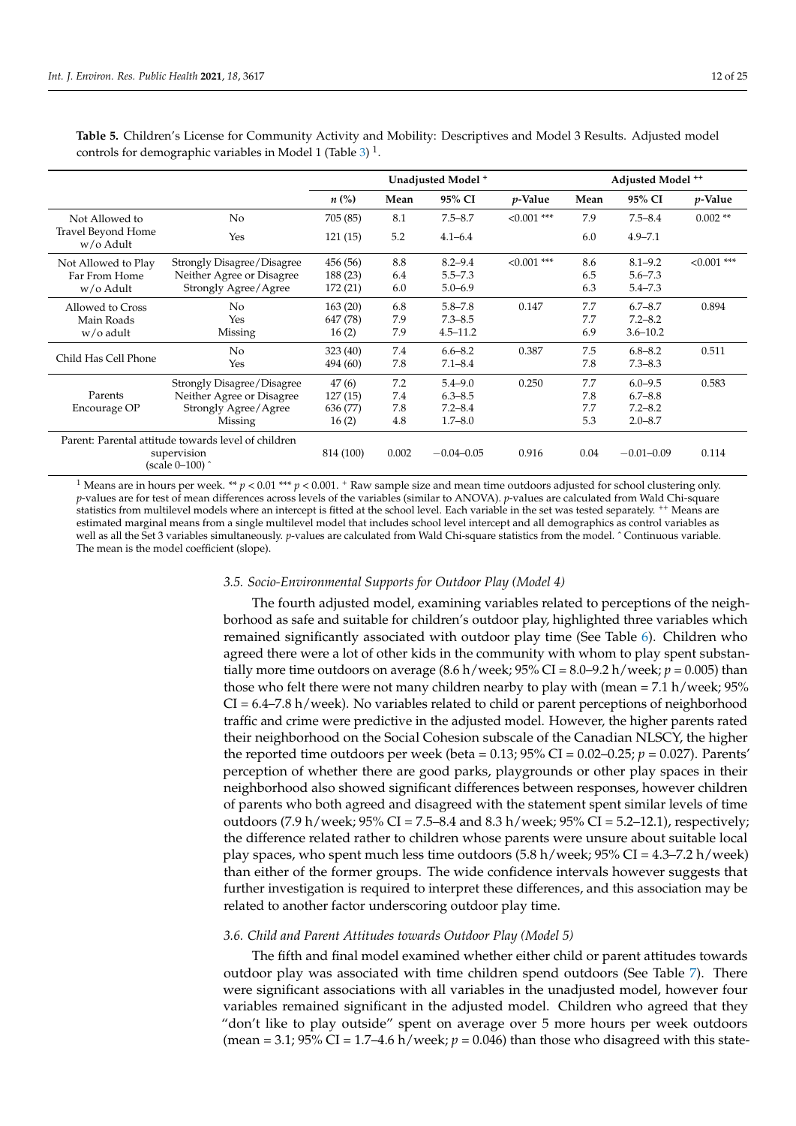|                                        |                                                     | Unadjusted Model <sup>+</sup> |       |                |                 | Adjusted Model <sup>++</sup> |                |                 |
|----------------------------------------|-----------------------------------------------------|-------------------------------|-------|----------------|-----------------|------------------------------|----------------|-----------------|
|                                        |                                                     | $n\ (\%)$                     | Mean  | 95% CI         | <i>p</i> -Value | Mean                         | 95% CI         | <i>p</i> -Value |
| Not Allowed to                         | No                                                  | 705 (85)                      | 8.1   | $7.5 - 8.7$    | $< 0.001$ ***   | 7.9                          | $7.5 - 8.4$    | $0.002**$       |
| <b>Travel Beyond Home</b><br>w/o Adult | Yes                                                 | 121(15)                       | 5.2   | $4.1 - 6.4$    |                 | 6.0                          | $4.9 - 7.1$    |                 |
| Not Allowed to Play                    | Strongly Disagree/Disagree                          | 456 (56)                      | 8.8   | $8.2 - 9.4$    | $< 0.001$ ***   | 8.6                          | $8.1 - 9.2$    | $< 0.001$ ***   |
| Far From Home                          | Neither Agree or Disagree                           | 188 (23)                      | 6.4   | $5.5 - 7.3$    |                 | 6.5                          | $5.6 - 7.3$    |                 |
| w/o Adult                              | Strongly Agree/Agree                                | 172 (21)                      | 6.0   | $5.0 - 6.9$    |                 | 6.3                          | $5.4 - 7.3$    |                 |
| Allowed to Cross                       | No                                                  | 163(20)                       | 6.8   | $5.8 - 7.8$    | 0.147           | 7.7                          | $6.7 - 8.7$    | 0.894           |
| Main Roads                             | Yes                                                 | 647 (78)                      | 7.9   | $7.3 - 8.5$    |                 | 7.7                          | $7.2 - 8.2$    |                 |
| w/o adult                              | Missing                                             | 16(2)                         | 7.9   | $4.5 - 11.2$   |                 | 6.9                          | $3.6 - 10.2$   |                 |
|                                        | No                                                  | 323 (40)                      | 7.4   | $6.6 - 8.2$    | 0.387           | 7.5                          | $6.8 - 8.2$    | 0.511           |
| Child Has Cell Phone                   | Yes                                                 | 494 (60)                      | 7.8   | $7.1 - 8.4$    |                 | 7.8                          | $7.3 - 8.3$    |                 |
|                                        | Strongly Disagree/Disagree                          | 47(6)                         | 7.2   | $5.4 - 9.0$    | 0.250           | 7.7                          | $6.0 - 9.5$    | 0.583           |
| Parents                                | Neither Agree or Disagree                           | 127(15)                       | 7.4   | $6.3 - 8.5$    |                 | 7.8                          | $6.7 - 8.8$    |                 |
| Encourage OP                           | Strongly Agree/Agree                                | 636 (77)                      | 7.8   | $7.2 - 8.4$    |                 | 7.7                          | $7.2 - 8.2$    |                 |
|                                        | Missing                                             | 16(2)                         | 4.8   | $1.7 - 8.0$    |                 | 5.3                          | $2.0 - 8.7$    |                 |
|                                        | Parent: Parental attitude towards level of children |                               |       |                |                 |                              |                |                 |
| supervision<br>(scale 0–100) ^         |                                                     | 814 (100)                     | 0.002 | $-0.04 - 0.05$ | 0.916           | 0.04                         | $-0.01 - 0.09$ | 0.114           |

<span id="page-11-0"></span>**Table 5.** Children's License for Community Activity and Mobility: Descriptives and Model 3 Results. Adjusted model controls for demographic variables in Model 1 (Table [3\)](#page-9-0)<sup>1</sup>.

<sup>1</sup> Means are in hours per week. \*\*  $p < 0.01$  \*\*\*  $p < 0.001$ . + Raw sample size and mean time outdoors adjusted for school clustering only. *p*-values are for test of mean differences across levels of the variables (similar to ANOVA). *p*-values are calculated from Wald Chi-square statistics from multilevel models where an intercept is fitted at the school level. Each variable in the set was tested separately. <sup>++</sup> Means are estimated marginal means from a single multilevel model that includes school level intercept and all demographics as control variables as well as all the Set 3 variables simultaneously. *p*-values are calculated from Wald Chi-square statistics from the model. ^Continuous variable. The mean is the model coefficient (slope).

#### *3.5. Socio-Environmental Supports for Outdoor Play (Model 4)*

The fourth adjusted model, examining variables related to perceptions of the neighborhood as safe and suitable for children's outdoor play, highlighted three variables which remained significantly associated with outdoor play time (See Table [6\)](#page-12-0). Children who agreed there were a lot of other kids in the community with whom to play spent substantially more time outdoors on average  $(8.6 \text{ h/week}; 95\% \text{ CI} = 8.0 - 9.2 \text{ h/week}; p = 0.005)$  than those who felt there were not many children nearby to play with (mean  $= 7.1$  h/week; 95% CI = 6.4–7.8 h/week). No variables related to child or parent perceptions of neighborhood traffic and crime were predictive in the adjusted model. However, the higher parents rated their neighborhood on the Social Cohesion subscale of the Canadian NLSCY, the higher the reported time outdoors per week (beta =  $0.13$ ;  $95\%$  CI =  $0.02-0.25$ ;  $p = 0.027$ ). Parents' perception of whether there are good parks, playgrounds or other play spaces in their neighborhood also showed significant differences between responses, however children of parents who both agreed and disagreed with the statement spent similar levels of time outdoors (7.9 h/week;  $95\%$  CI = 7.5–8.4 and 8.3 h/week;  $95\%$  CI = 5.2–12.1), respectively; the difference related rather to children whose parents were unsure about suitable local play spaces, who spent much less time outdoors  $(5.8 \text{ h/week})$  95% CI = 4.3–7.2 h/week) than either of the former groups. The wide confidence intervals however suggests that further investigation is required to interpret these differences, and this association may be related to another factor underscoring outdoor play time.

#### *3.6. Child and Parent Attitudes towards Outdoor Play (Model 5)*

The fifth and final model examined whether either child or parent attitudes towards outdoor play was associated with time children spend outdoors (See Table [7\)](#page-13-0). There were significant associations with all variables in the unadjusted model, however four variables remained significant in the adjusted model. Children who agreed that they "don't like to play outside" spent on average over 5 more hours per week outdoors (mean = 3.1;  $95\%$  CI = 1.7–4.6 h/week;  $p = 0.046$ ) than those who disagreed with this state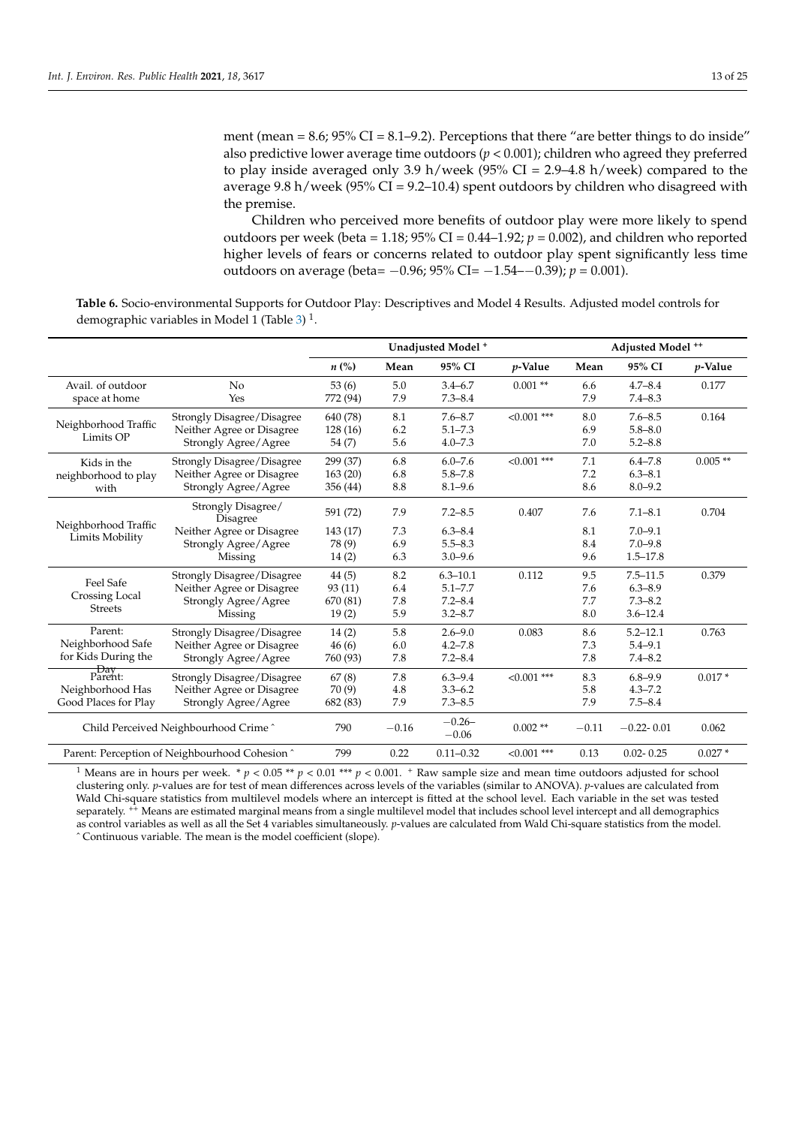ment (mean  $= 8.6$ ;  $95\%$  CI  $= 8.1 - 9.2$ ). Perceptions that there "are better things to do inside" also predictive lower average time outdoors ( $p < 0.001$ ); children who agreed they preferred to play inside averaged only 3.9 h/week (95% CI = 2.9–4.8 h/week) compared to the average 9.8 h/week (95% CI = 9.2–10.4) spent outdoors by children who disagreed with the premise.

Children who perceived more benefits of outdoor play were more likely to spend outdoors per week (beta = 1.18;  $95\%$  CI = 0.44–1.92;  $p = 0.002$ ), and children who reported higher levels of fears or concerns related to outdoor play spent significantly less time outdoors on average (beta= −0.96; 95% CI= −1.54–−0.39); *p* = 0.001).

<span id="page-12-0"></span>**Table 6.** Socio-environmental Supports for Outdoor Play: Descriptives and Model 4 Results. Adjusted model controls for demographic variables in Model 1 (Table [3\)](#page-9-0)<sup>1</sup>.

|                                                |                                | Unadjusted Model <sup>+</sup> |         |                     | Adjusted Model ** |         |                |            |
|------------------------------------------------|--------------------------------|-------------------------------|---------|---------------------|-------------------|---------|----------------|------------|
|                                                |                                | $n\left(\%\right)$            | Mean    | 95% CI              | $p$ -Value        | Mean    | 95% CI         | $p$ -Value |
| Avail, of outdoor                              | No                             | 53(6)                         | 5.0     | $3.4 - 6.7$         | $0.001$ **        | 6.6     | $4.7 - 8.4$    | 0.177      |
| space at home                                  | Yes                            | 772 (94)                      | 7.9     | $7.3 - 8.4$         |                   | 7.9     | $7.4 - 8.3$    |            |
|                                                | Strongly Disagree/Disagree     | 640 (78)                      | 8.1     | $7.6 - 8.7$         | $< 0.001$ ***     | 8.0     | $7.6 - 8.5$    | 0.164      |
| Neighborhood Traffic                           | Neither Agree or Disagree      | 128 (16)                      | 6.2     | $5.1 - 7.3$         |                   | 6.9     | $5.8 - 8.0$    |            |
| Limits OP                                      | Strongly Agree/Agree           | 54 (7)                        | 5.6     | $4.0 - 7.3$         |                   | 7.0     | $5.2 - 8.8$    |            |
| Kids in the                                    | Strongly Disagree/Disagree     | 299 (37)                      | 6.8     | $6.0 - 7.6$         | $< 0.001$ ***     | 7.1     | $6.4 - 7.8$    | $0.005**$  |
| neighborhood to play                           | Neither Agree or Disagree      | 163(20)                       | 6.8     | $5.8 - 7.8$         |                   | 7.2     | $6.3 - 8.1$    |            |
| with                                           | Strongly Agree/Agree           | 356 (44)                      | 8.8     | $8.1 - 9.6$         |                   | 8.6     | $8.0 - 9.2$    |            |
| Neighborhood Traffic                           | Strongly Disagree/<br>Disagree | 591 (72)                      | 7.9     | $7.2 - 8.5$         | 0.407             | 7.6     | $7.1 - 8.1$    | 0.704      |
|                                                | Neither Agree or Disagree      | 143 (17)                      | 7.3     | $6.3 - 8.4$         |                   | 8.1     | $7.0 - 9.1$    |            |
| Limits Mobility                                | Strongly Agree/Agree           | 78 (9)                        | 6.9     | $5.5 - 8.3$         |                   | 8.4     | $7.0 - 9.8$    |            |
|                                                | Missing                        | 14(2)                         | 6.3     | $3.0 - 9.6$         |                   | 9.6     | $1.5 - 17.8$   |            |
| Feel Safe                                      | Strongly Disagree/Disagree     | 44(5)                         | 8.2     | $6.3 - 10.1$        | 0.112             | 9.5     | $7.5 - 11.5$   | 0.379      |
|                                                | Neither Agree or Disagree      | 93(11)                        | 6.4     | $5.1 - 7.7$         |                   | 7.6     | $6.3 - 8.9$    |            |
| Crossing Local                                 | Strongly Agree/Agree           | 670 (81)                      | 7.8     | $7.2 - 8.4$         |                   | 7.7     | $7.3 - 8.2$    |            |
| <b>Streets</b>                                 | Missing                        | 19(2)                         | 5.9     | $3.2 - 8.7$         |                   | 8.0     | $3.6 - 12.4$   |            |
| Parent:                                        | Strongly Disagree/Disagree     | 14(2)                         | 5.8     | $2.6 - 9.0$         | 0.083             | 8.6     | $5.2 - 12.1$   | 0.763      |
| Neighborhood Safe                              | Neither Agree or Disagree      | 46(6)                         | 6.0     | $4.2 - 7.8$         |                   | 7.3     | $5.4 - 9.1$    |            |
| for Kids During the                            | Strongly Agree/Agree           | 760 (93)                      | 7.8     | $7.2 - 8.4$         |                   | 7.8     | $7.4 - 8.2$    |            |
| Day<br>Parent:                                 | Strongly Disagree/Disagree     | 67(8)                         | 7.8     | $6.3 - 9.4$         | $< 0.001$ ***     | 8.3     | $6.8 - 9.9$    | $0.017*$   |
| Neighborhood Has                               | Neither Agree or Disagree      | 70(9)                         | 4.8     | $3.3 - 6.2$         |                   | 5.8     | $4.3 - 7.2$    |            |
| Good Places for Play                           | Strongly Agree/Agree           | 682 (83)                      | 7.9     | $7.3 - 8.5$         |                   | 7.9     | $7.5 - 8.4$    |            |
| Child Perceived Neighbourhood Crime ^          |                                | 790                           | $-0.16$ | $-0.26-$<br>$-0.06$ | $0.002$ **        | $-0.11$ | $-0.22 - 0.01$ | 0.062      |
| Parent: Perception of Neighbourhood Cohesion ^ |                                | 799                           | 0.22    | $0.11 - 0.32$       | $< 0.001$ ***     | 0.13    | $0.02 - 0.25$  | $0.027*$   |

<sup>1</sup> Means are in hours per week. \*  $p < 0.05$  \*\*  $p < 0.01$  \*\*\*  $p < 0.001$ . \* Raw sample size and mean time outdoors adjusted for school clustering only. *p*-values are for test of mean differences across levels of the variables (similar to ANOVA). *p*-values are calculated from Wald Chi-square statistics from multilevel models where an intercept is fitted at the school level. Each variable in the set was tested separately. <sup>++</sup> Means are estimated marginal means from a single multilevel model that includes school level intercept and all demographics as control variables as well as all the Set 4 variables simultaneously. *p*-values are calculated from Wald Chi-square statistics from the model. ˆ Continuous variable. The mean is the model coefficient (slope).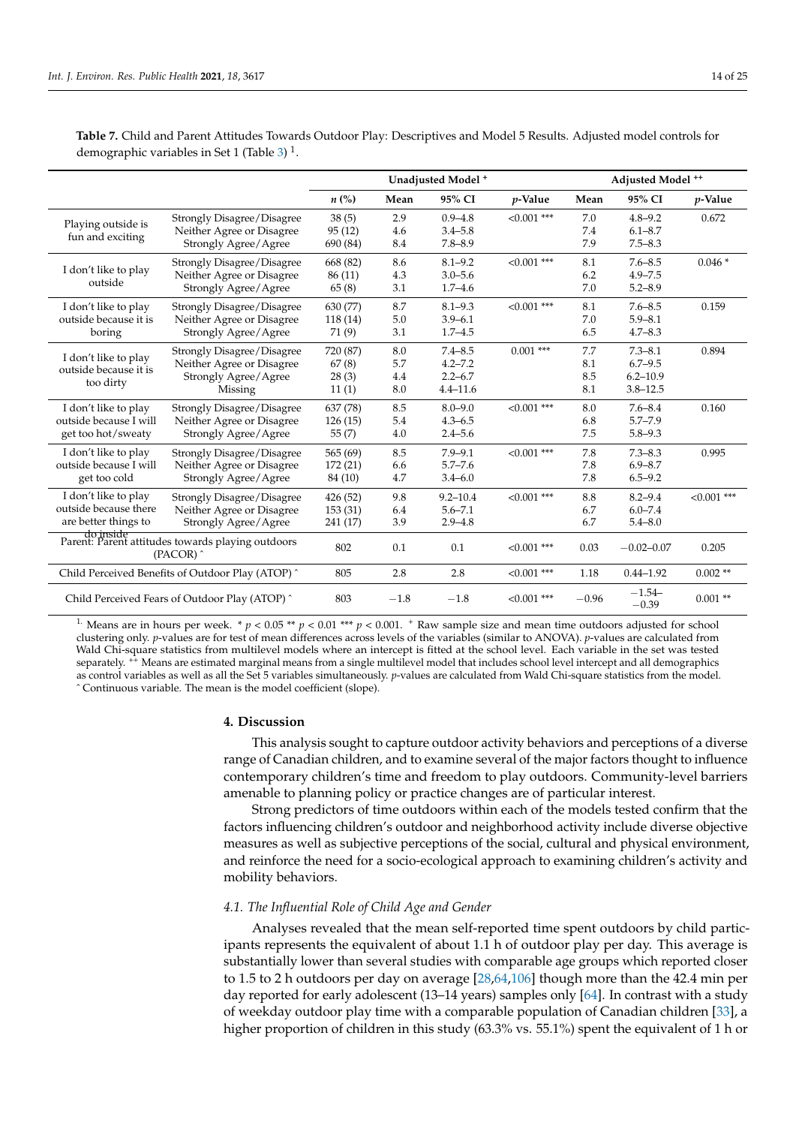|                                                                             |                                                   | Unadjusted Model <sup>+</sup> |        |              | Adjusted Model ++ |         |                     |               |
|-----------------------------------------------------------------------------|---------------------------------------------------|-------------------------------|--------|--------------|-------------------|---------|---------------------|---------------|
|                                                                             |                                                   | $n\left(\%\right)$            | Mean   | 95% CI       | $p$ -Value        | Mean    | 95% CI              | $p$ -Value    |
|                                                                             | Strongly Disagree/Disagree                        | 38(5)                         | 2.9    | $0.9 - 4.8$  | $<0.001$ ***      | 7.0     | $4.8 - 9.2$         | 0.672         |
| Playing outside is                                                          | Neither Agree or Disagree                         | 95(12)                        | 4.6    | $3.4 - 5.8$  |                   | 7.4     | $6.1 - 8.7$         |               |
| fun and exciting                                                            | Strongly Agree/Agree                              | 690 (84)                      | 8.4    | $7.8 - 8.9$  |                   | 7.9     | $7.5 - 8.3$         |               |
|                                                                             | Strongly Disagree/Disagree                        | 668 (82)                      | 8.6    | $8.1 - 9.2$  | $<0.001$ ***      | 8.1     | $7.6 - 8.5$         | $0.046*$      |
| I don't like to play                                                        | Neither Agree or Disagree                         | 86 (11)                       | 4.3    | $3.0 - 5.6$  |                   | 6.2     | $4.9 - 7.5$         |               |
| outside                                                                     | Strongly Agree/Agree                              | 65(8)                         | 3.1    | $1.7 - 4.6$  |                   | 7.0     | $5.2 - 8.9$         |               |
| I don't like to play                                                        | Strongly Disagree/Disagree                        | 630 (77)                      | 8.7    | $8.1 - 9.3$  | $< 0.001$ ***     | 8.1     | $7.6 - 8.5$         | 0.159         |
| outside because it is                                                       | Neither Agree or Disagree                         | 118(14)                       | 5.0    | $3.9 - 6.1$  |                   | 7.0     | $5.9 - 8.1$         |               |
| boring                                                                      | Strongly Agree/Agree                              | 71 (9)                        | 3.1    | $1.7 - 4.5$  |                   | 6.5     | $4.7 - 8.3$         |               |
| I don't like to play                                                        | Strongly Disagree/Disagree                        | 720 (87)                      | 8.0    | $7.4 - 8.5$  | $0.001$ ***       | 7.7     | $7.3 - 8.1$         | 0.894         |
| outside because it is                                                       | Neither Agree or Disagree                         | 67(8)                         | 5.7    | $4.2 - 7.2$  |                   | 8.1     | $6.7 - 9.5$         |               |
|                                                                             | Strongly Agree/Agree                              | 28(3)                         | 4.4    | $2.2 - 6.7$  |                   | 8.5     | $6.2 - 10.9$        |               |
| too dirty                                                                   | Missing                                           | 11(1)                         | 8.0    | $4.4 - 11.6$ |                   | 8.1     | $3.8 - 12.5$        |               |
| I don't like to play                                                        | Strongly Disagree/Disagree                        | 637 (78)                      | 8.5    | $8.0 - 9.0$  | $< 0.001$ ***     | 8.0     | $7.6 - 8.4$         | 0.160         |
| outside because I will                                                      | Neither Agree or Disagree                         | 126(15)                       | 5.4    | $4.3 - 6.5$  |                   | 6.8     | $5.7 - 7.9$         |               |
| get too hot/sweaty                                                          | Strongly Agree/Agree                              | 55(7)                         | 4.0    | $2.4 - 5.6$  |                   | 7.5     | $5.8 - 9.3$         |               |
| I don't like to play                                                        | Strongly Disagree/Disagree                        | 565 (69)                      | 8.5    | $7.9 - 9.1$  | $< 0.001$ ***     | 7.8     | $7.3 - 8.3$         | 0.995         |
| outside because I will                                                      | Neither Agree or Disagree                         | 172 (21)                      | 6.6    | $5.7 - 7.6$  |                   | 7.8     | $6.9 - 8.7$         |               |
| get too cold                                                                | Strongly Agree/Agree                              | 84 (10)                       | 4.7    | $3.4 - 6.0$  |                   | 7.8     | $6.5 - 9.2$         |               |
| I don't like to play                                                        | Strongly Disagree/Disagree                        | 426 (52)                      | 9.8    | $9.2 - 10.4$ | $< 0.001$ ***     | 8.8     | $8.2 - 9.4$         | $< 0.001$ *** |
| outside because there                                                       | Neither Agree or Disagree                         | 153 (31)                      | 6.4    | $5.6 - 7.1$  |                   | 6.7     | $6.0 - 7.4$         |               |
| are better things to                                                        | Strongly Agree/Agree                              | 241 (17)                      | 3.9    | $2.9 - 4.8$  |                   | 6.7     | $5.4 - 8.0$         |               |
| do inside<br>Parent: Parent attitudes towards playing outdoors<br>(PACOR) ^ |                                                   | 802                           | 0.1    | 0.1          | $< 0.001$ ***     | 0.03    | $-0.02 - 0.07$      | 0.205         |
|                                                                             | Child Perceived Benefits of Outdoor Play (ATOP) ^ | 805                           | 2.8    | 2.8          | $< 0.001$ ***     | 1.18    | $0.44 - 1.92$       | $0.002**$     |
| Child Perceived Fears of Outdoor Play (ATOP) ^                              |                                                   | 803                           | $-1.8$ | $-1.8$       | $< 0.001$ ***     | $-0.96$ | $-1.54-$<br>$-0.39$ | $0.001**$     |

<span id="page-13-0"></span>**Table 7.** Child and Parent Attitudes Towards Outdoor Play: Descriptives and Model 5 Results. Adjusted model controls for demographic variables in Set 1 (Table [3\)](#page-9-0)<sup>1</sup>.

<sup>1.</sup> Means are in hours per week.  $* p < 0.05 ** p < 0.01*** p < 0.001$ .  $* Raw$  sample size and mean time outdoors adjusted for school clustering only. *p*-values are for test of mean differences across levels of the variables (similar to ANOVA). *p*-values are calculated from Wald Chi-square statistics from multilevel models where an intercept is fitted at the school level. Each variable in the set was tested separately.  $^{++}$  Means are estimated marginal means from a single multilevel model that includes school level intercept and all demographics as control variables as well as all the Set 5 variables simultaneously. *p*-values are calculated from Wald Chi-square statistics from the model. ˆ Continuous variable. The mean is the model coefficient (slope).

#### **4. Discussion**

This analysis sought to capture outdoor activity behaviors and perceptions of a diverse range of Canadian children, and to examine several of the major factors thought to influence contemporary children's time and freedom to play outdoors. Community-level barriers amenable to planning policy or practice changes are of particular interest.

Strong predictors of time outdoors within each of the models tested confirm that the factors influencing children's outdoor and neighborhood activity include diverse objective measures as well as subjective perceptions of the social, cultural and physical environment, and reinforce the need for a socio-ecological approach to examining children's activity and mobility behaviors.

#### *4.1. The Influential Role of Child Age and Gender*

Analyses revealed that the mean self-reported time spent outdoors by child participants represents the equivalent of about 1.1 h of outdoor play per day. This average is substantially lower than several studies with comparable age groups which reported closer to 1.5 to 2 h outdoors per day on average [\[28](#page-20-9)[,64](#page-21-18)[,106\]](#page-23-9) though more than the 42.4 min per day reported for early adolescent (13–14 years) samples only [\[64\]](#page-21-18). In contrast with a study of weekday outdoor play time with a comparable population of Canadian children [\[33\]](#page-20-13), a higher proportion of children in this study (63.3% vs. 55.1%) spent the equivalent of 1 h or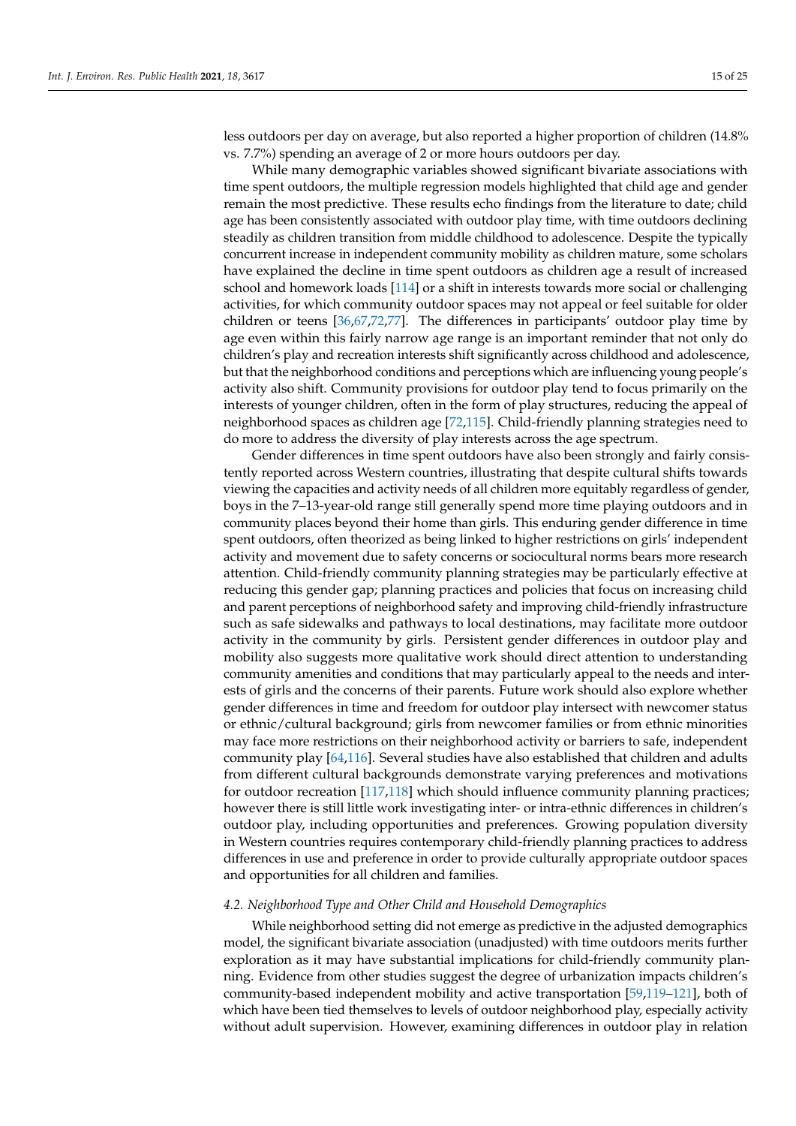less outdoors per day on average, but also reported a higher proportion of children (14.8% vs. 7.7%) spending an average of 2 or more hours outdoors per day.

While many demographic variables showed significant bivariate associations with time spent outdoors, the multiple regression models highlighted that child age and gender remain the most predictive. These results echo findings from the literature to date; child age has been consistently associated with outdoor play time, with time outdoors declining steadily as children transition from middle childhood to adolescence. Despite the typically concurrent increase in independent community mobility as children mature, some scholars have explained the decline in time spent outdoors as children age a result of increased school and homework loads [\[114\]](#page-23-17) or a shift in interests towards more social or challenging activities, for which community outdoor spaces may not appeal or feel suitable for older children or teens [\[36](#page-20-20)[,67](#page-21-21)[,72](#page-22-3)[,77\]](#page-22-6). The differences in participants' outdoor play time by age even within this fairly narrow age range is an important reminder that not only do children's play and recreation interests shift significantly across childhood and adolescence, but that the neighborhood conditions and perceptions which are influencing young people's activity also shift. Community provisions for outdoor play tend to focus primarily on the interests of younger children, often in the form of play structures, reducing the appeal of neighborhood spaces as children age [\[72](#page-22-3)[,115\]](#page-23-18). Child-friendly planning strategies need to do more to address the diversity of play interests across the age spectrum.

Gender differences in time spent outdoors have also been strongly and fairly consistently reported across Western countries, illustrating that despite cultural shifts towards viewing the capacities and activity needs of all children more equitably regardless of gender, boys in the 7–13-year-old range still generally spend more time playing outdoors and in community places beyond their home than girls. This enduring gender difference in time spent outdoors, often theorized as being linked to higher restrictions on girls' independent activity and movement due to safety concerns or sociocultural norms bears more research attention. Child-friendly community planning strategies may be particularly effective at reducing this gender gap; planning practices and policies that focus on increasing child and parent perceptions of neighborhood safety and improving child-friendly infrastructure such as safe sidewalks and pathways to local destinations, may facilitate more outdoor activity in the community by girls. Persistent gender differences in outdoor play and mobility also suggests more qualitative work should direct attention to understanding community amenities and conditions that may particularly appeal to the needs and interests of girls and the concerns of their parents. Future work should also explore whether gender differences in time and freedom for outdoor play intersect with newcomer status or ethnic/cultural background; girls from newcomer families or from ethnic minorities may face more restrictions on their neighborhood activity or barriers to safe, independent community play [\[64](#page-21-18)[,116\]](#page-23-19). Several studies have also established that children and adults from different cultural backgrounds demonstrate varying preferences and motivations for outdoor recreation [\[117,](#page-23-20)[118\]](#page-23-21) which should influence community planning practices; however there is still little work investigating inter- or intra-ethnic differences in children's outdoor play, including opportunities and preferences. Growing population diversity in Western countries requires contemporary child-friendly planning practices to address differences in use and preference in order to provide culturally appropriate outdoor spaces and opportunities for all children and families.

#### *4.2. Neighborhood Type and Other Child and Household Demographics*

While neighborhood setting did not emerge as predictive in the adjusted demographics model, the significant bivariate association (unadjusted) with time outdoors merits further exploration as it may have substantial implications for child-friendly community planning. Evidence from other studies suggest the degree of urbanization impacts children's community-based independent mobility and active transportation [\[59](#page-21-13)[,119](#page-23-22)[–121\]](#page-23-23), both of which have been tied themselves to levels of outdoor neighborhood play, especially activity without adult supervision. However, examining differences in outdoor play in relation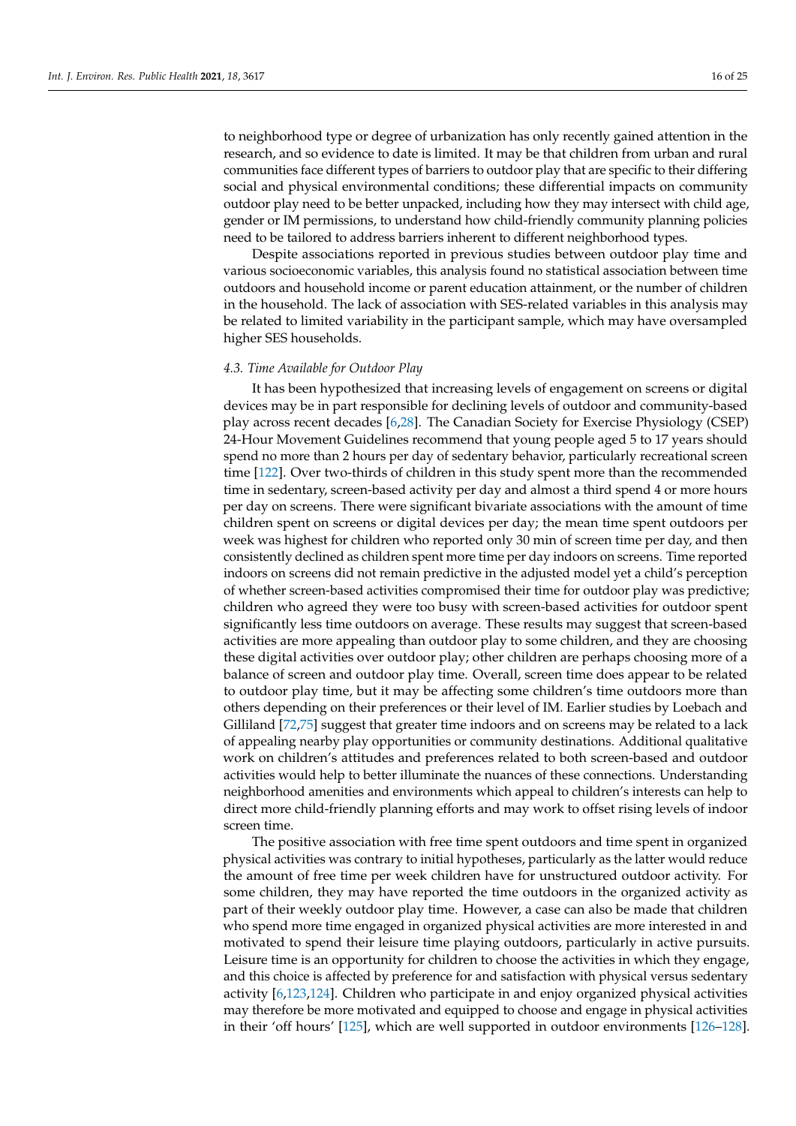to neighborhood type or degree of urbanization has only recently gained attention in the research, and so evidence to date is limited. It may be that children from urban and rural communities face different types of barriers to outdoor play that are specific to their differing social and physical environmental conditions; these differential impacts on community outdoor play need to be better unpacked, including how they may intersect with child age, gender or IM permissions, to understand how child-friendly community planning policies need to be tailored to address barriers inherent to different neighborhood types.

Despite associations reported in previous studies between outdoor play time and various socioeconomic variables, this analysis found no statistical association between time outdoors and household income or parent education attainment, or the number of children in the household. The lack of association with SES-related variables in this analysis may be related to limited variability in the participant sample, which may have oversampled higher SES households.

#### *4.3. Time Available for Outdoor Play*

It has been hypothesized that increasing levels of engagement on screens or digital devices may be in part responsible for declining levels of outdoor and community-based play across recent decades [\[6,](#page-19-1)[28\]](#page-20-9). The Canadian Society for Exercise Physiology (CSEP) 24-Hour Movement Guidelines recommend that young people aged 5 to 17 years should spend no more than 2 hours per day of sedentary behavior, particularly recreational screen time [\[122\]](#page-24-0). Over two-thirds of children in this study spent more than the recommended time in sedentary, screen-based activity per day and almost a third spend 4 or more hours per day on screens. There were significant bivariate associations with the amount of time children spent on screens or digital devices per day; the mean time spent outdoors per week was highest for children who reported only 30 min of screen time per day, and then consistently declined as children spent more time per day indoors on screens. Time reported indoors on screens did not remain predictive in the adjusted model yet a child's perception of whether screen-based activities compromised their time for outdoor play was predictive; children who agreed they were too busy with screen-based activities for outdoor spent significantly less time outdoors on average. These results may suggest that screen-based activities are more appealing than outdoor play to some children, and they are choosing these digital activities over outdoor play; other children are perhaps choosing more of a balance of screen and outdoor play time. Overall, screen time does appear to be related to outdoor play time, but it may be affecting some children's time outdoors more than others depending on their preferences or their level of IM. Earlier studies by Loebach and Gilliland [\[72](#page-22-3)[,75\]](#page-22-10) suggest that greater time indoors and on screens may be related to a lack of appealing nearby play opportunities or community destinations. Additional qualitative work on children's attitudes and preferences related to both screen-based and outdoor activities would help to better illuminate the nuances of these connections. Understanding neighborhood amenities and environments which appeal to children's interests can help to direct more child-friendly planning efforts and may work to offset rising levels of indoor screen time.

The positive association with free time spent outdoors and time spent in organized physical activities was contrary to initial hypotheses, particularly as the latter would reduce the amount of free time per week children have for unstructured outdoor activity. For some children, they may have reported the time outdoors in the organized activity as part of their weekly outdoor play time. However, a case can also be made that children who spend more time engaged in organized physical activities are more interested in and motivated to spend their leisure time playing outdoors, particularly in active pursuits. Leisure time is an opportunity for children to choose the activities in which they engage, and this choice is affected by preference for and satisfaction with physical versus sedentary activity [\[6](#page-19-1)[,123](#page-24-1)[,124\]](#page-24-2). Children who participate in and enjoy organized physical activities may therefore be more motivated and equipped to choose and engage in physical activities in their 'off hours' [\[125\]](#page-24-3), which are well supported in outdoor environments [\[126](#page-24-4)[–128\]](#page-24-5).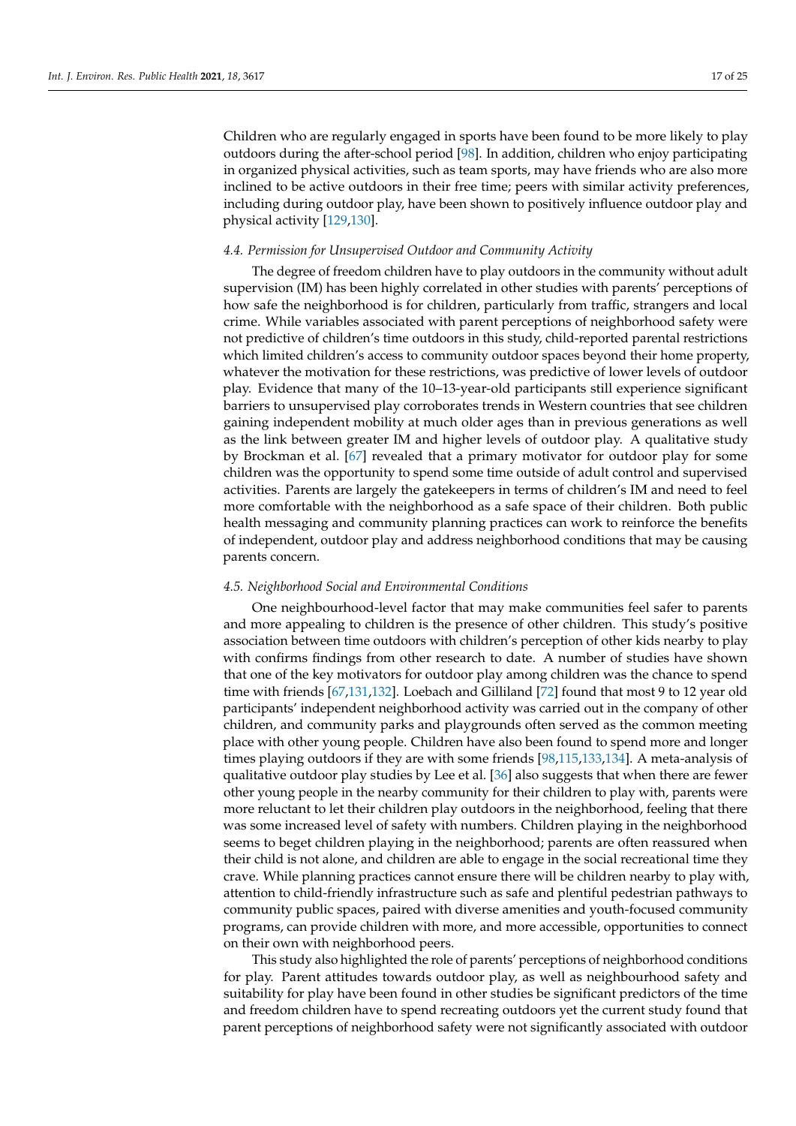Children who are regularly engaged in sports have been found to be more likely to play outdoors during the after-school period [\[98\]](#page-23-2). In addition, children who enjoy participating in organized physical activities, such as team sports, may have friends who are also more inclined to be active outdoors in their free time; peers with similar activity preferences, including during outdoor play, have been shown to positively influence outdoor play and physical activity [\[129](#page-24-6)[,130\]](#page-24-7).

#### *4.4. Permission for Unsupervised Outdoor and Community Activity*

The degree of freedom children have to play outdoors in the community without adult supervision (IM) has been highly correlated in other studies with parents' perceptions of how safe the neighborhood is for children, particularly from traffic, strangers and local crime. While variables associated with parent perceptions of neighborhood safety were not predictive of children's time outdoors in this study, child-reported parental restrictions which limited children's access to community outdoor spaces beyond their home property, whatever the motivation for these restrictions, was predictive of lower levels of outdoor play. Evidence that many of the 10–13-year-old participants still experience significant barriers to unsupervised play corroborates trends in Western countries that see children gaining independent mobility at much older ages than in previous generations as well as the link between greater IM and higher levels of outdoor play. A qualitative study by Brockman et al. [\[67\]](#page-21-21) revealed that a primary motivator for outdoor play for some children was the opportunity to spend some time outside of adult control and supervised activities. Parents are largely the gatekeepers in terms of children's IM and need to feel more comfortable with the neighborhood as a safe space of their children. Both public health messaging and community planning practices can work to reinforce the benefits of independent, outdoor play and address neighborhood conditions that may be causing parents concern.

#### *4.5. Neighborhood Social and Environmental Conditions*

One neighbourhood-level factor that may make communities feel safer to parents and more appealing to children is the presence of other children. This study's positive association between time outdoors with children's perception of other kids nearby to play with confirms findings from other research to date. A number of studies have shown that one of the key motivators for outdoor play among children was the chance to spend time with friends [\[67,](#page-21-21)[131,](#page-24-8)[132\]](#page-24-9). Loebach and Gilliland [\[72\]](#page-22-3) found that most 9 to 12 year old participants' independent neighborhood activity was carried out in the company of other children, and community parks and playgrounds often served as the common meeting place with other young people. Children have also been found to spend more and longer times playing outdoors if they are with some friends [\[98](#page-23-2)[,115](#page-23-18)[,133,](#page-24-10)[134\]](#page-24-11). A meta-analysis of qualitative outdoor play studies by Lee et al. [\[36\]](#page-20-20) also suggests that when there are fewer other young people in the nearby community for their children to play with, parents were more reluctant to let their children play outdoors in the neighborhood, feeling that there was some increased level of safety with numbers. Children playing in the neighborhood seems to beget children playing in the neighborhood; parents are often reassured when their child is not alone, and children are able to engage in the social recreational time they crave. While planning practices cannot ensure there will be children nearby to play with, attention to child-friendly infrastructure such as safe and plentiful pedestrian pathways to community public spaces, paired with diverse amenities and youth-focused community programs, can provide children with more, and more accessible, opportunities to connect on their own with neighborhood peers.

This study also highlighted the role of parents' perceptions of neighborhood conditions for play. Parent attitudes towards outdoor play, as well as neighbourhood safety and suitability for play have been found in other studies be significant predictors of the time and freedom children have to spend recreating outdoors yet the current study found that parent perceptions of neighborhood safety were not significantly associated with outdoor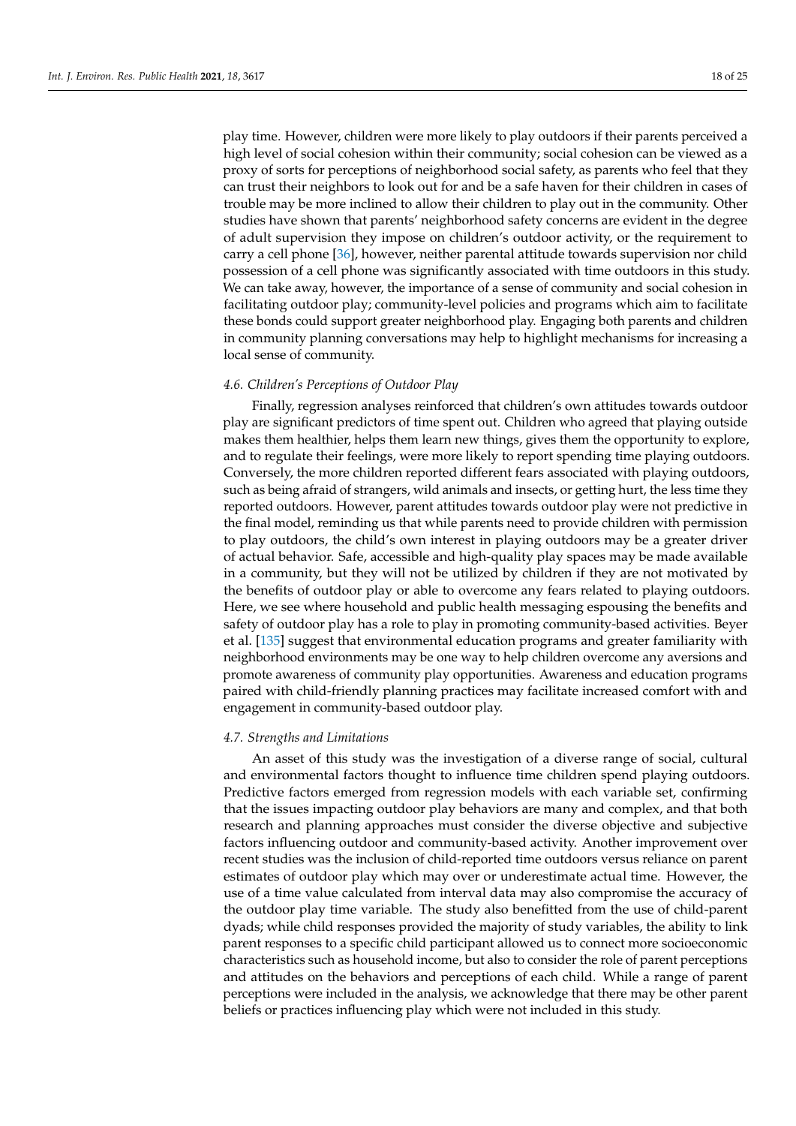play time. However, children were more likely to play outdoors if their parents perceived a high level of social cohesion within their community; social cohesion can be viewed as a proxy of sorts for perceptions of neighborhood social safety, as parents who feel that they can trust their neighbors to look out for and be a safe haven for their children in cases of trouble may be more inclined to allow their children to play out in the community. Other studies have shown that parents' neighborhood safety concerns are evident in the degree of adult supervision they impose on children's outdoor activity, or the requirement to carry a cell phone [\[36\]](#page-20-20), however, neither parental attitude towards supervision nor child possession of a cell phone was significantly associated with time outdoors in this study. We can take away, however, the importance of a sense of community and social cohesion in facilitating outdoor play; community-level policies and programs which aim to facilitate these bonds could support greater neighborhood play. Engaging both parents and children in community planning conversations may help to highlight mechanisms for increasing a local sense of community.

# *4.6. Children's Perceptions of Outdoor Play*

Finally, regression analyses reinforced that children's own attitudes towards outdoor play are significant predictors of time spent out. Children who agreed that playing outside makes them healthier, helps them learn new things, gives them the opportunity to explore, and to regulate their feelings, were more likely to report spending time playing outdoors. Conversely, the more children reported different fears associated with playing outdoors, such as being afraid of strangers, wild animals and insects, or getting hurt, the less time they reported outdoors. However, parent attitudes towards outdoor play were not predictive in the final model, reminding us that while parents need to provide children with permission to play outdoors, the child's own interest in playing outdoors may be a greater driver of actual behavior. Safe, accessible and high-quality play spaces may be made available in a community, but they will not be utilized by children if they are not motivated by the benefits of outdoor play or able to overcome any fears related to playing outdoors. Here, we see where household and public health messaging espousing the benefits and safety of outdoor play has a role to play in promoting community-based activities. Beyer et al. [\[135\]](#page-24-12) suggest that environmental education programs and greater familiarity with neighborhood environments may be one way to help children overcome any aversions and promote awareness of community play opportunities. Awareness and education programs paired with child-friendly planning practices may facilitate increased comfort with and engagement in community-based outdoor play.

#### *4.7. Strengths and Limitations*

An asset of this study was the investigation of a diverse range of social, cultural and environmental factors thought to influence time children spend playing outdoors. Predictive factors emerged from regression models with each variable set, confirming that the issues impacting outdoor play behaviors are many and complex, and that both research and planning approaches must consider the diverse objective and subjective factors influencing outdoor and community-based activity. Another improvement over recent studies was the inclusion of child-reported time outdoors versus reliance on parent estimates of outdoor play which may over or underestimate actual time. However, the use of a time value calculated from interval data may also compromise the accuracy of the outdoor play time variable. The study also benefitted from the use of child-parent dyads; while child responses provided the majority of study variables, the ability to link parent responses to a specific child participant allowed us to connect more socioeconomic characteristics such as household income, but also to consider the role of parent perceptions and attitudes on the behaviors and perceptions of each child. While a range of parent perceptions were included in the analysis, we acknowledge that there may be other parent beliefs or practices influencing play which were not included in this study.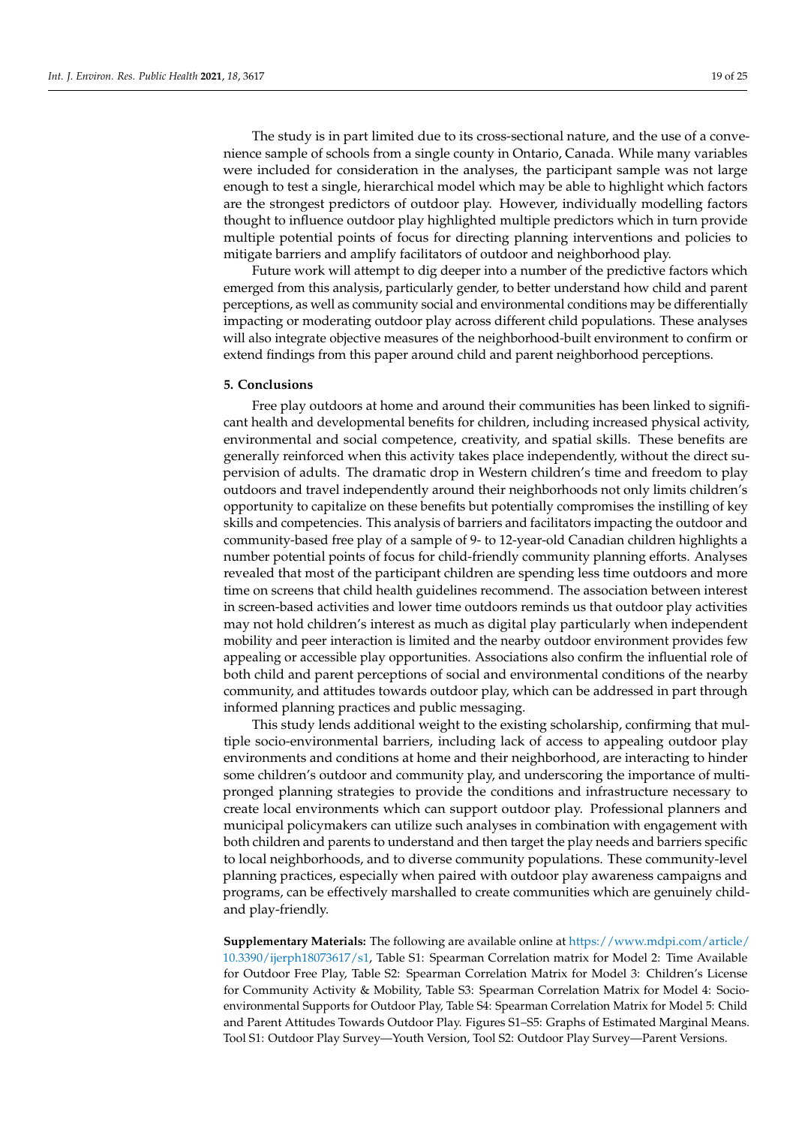The study is in part limited due to its cross-sectional nature, and the use of a convenience sample of schools from a single county in Ontario, Canada. While many variables were included for consideration in the analyses, the participant sample was not large enough to test a single, hierarchical model which may be able to highlight which factors are the strongest predictors of outdoor play. However, individually modelling factors thought to influence outdoor play highlighted multiple predictors which in turn provide multiple potential points of focus for directing planning interventions and policies to mitigate barriers and amplify facilitators of outdoor and neighborhood play.

Future work will attempt to dig deeper into a number of the predictive factors which emerged from this analysis, particularly gender, to better understand how child and parent perceptions, as well as community social and environmental conditions may be differentially impacting or moderating outdoor play across different child populations. These analyses will also integrate objective measures of the neighborhood-built environment to confirm or extend findings from this paper around child and parent neighborhood perceptions.

#### **5. Conclusions**

Free play outdoors at home and around their communities has been linked to significant health and developmental benefits for children, including increased physical activity, environmental and social competence, creativity, and spatial skills. These benefits are generally reinforced when this activity takes place independently, without the direct supervision of adults. The dramatic drop in Western children's time and freedom to play outdoors and travel independently around their neighborhoods not only limits children's opportunity to capitalize on these benefits but potentially compromises the instilling of key skills and competencies. This analysis of barriers and facilitators impacting the outdoor and community-based free play of a sample of 9- to 12-year-old Canadian children highlights a number potential points of focus for child-friendly community planning efforts. Analyses revealed that most of the participant children are spending less time outdoors and more time on screens that child health guidelines recommend. The association between interest in screen-based activities and lower time outdoors reminds us that outdoor play activities may not hold children's interest as much as digital play particularly when independent mobility and peer interaction is limited and the nearby outdoor environment provides few appealing or accessible play opportunities. Associations also confirm the influential role of both child and parent perceptions of social and environmental conditions of the nearby community, and attitudes towards outdoor play, which can be addressed in part through informed planning practices and public messaging.

This study lends additional weight to the existing scholarship, confirming that multiple socio-environmental barriers, including lack of access to appealing outdoor play environments and conditions at home and their neighborhood, are interacting to hinder some children's outdoor and community play, and underscoring the importance of multipronged planning strategies to provide the conditions and infrastructure necessary to create local environments which can support outdoor play. Professional planners and municipal policymakers can utilize such analyses in combination with engagement with both children and parents to understand and then target the play needs and barriers specific to local neighborhoods, and to diverse community populations. These community-level planning practices, especially when paired with outdoor play awareness campaigns and programs, can be effectively marshalled to create communities which are genuinely childand play-friendly.

**Supplementary Materials:** The following are available online at [https://www.mdpi.com/article/](https://www.mdpi.com/article/10.3390/ijerph18073617/s1) [10.3390/ijerph18073617/s1,](https://www.mdpi.com/article/10.3390/ijerph18073617/s1) Table S1: Spearman Correlation matrix for Model 2: Time Available for Outdoor Free Play, Table S2: Spearman Correlation Matrix for Model 3: Children's License for Community Activity & Mobility, Table S3: Spearman Correlation Matrix for Model 4: Socioenvironmental Supports for Outdoor Play, Table S4: Spearman Correlation Matrix for Model 5: Child and Parent Attitudes Towards Outdoor Play. Figures S1–S5: Graphs of Estimated Marginal Means. Tool S1: Outdoor Play Survey—Youth Version, Tool S2: Outdoor Play Survey—Parent Versions.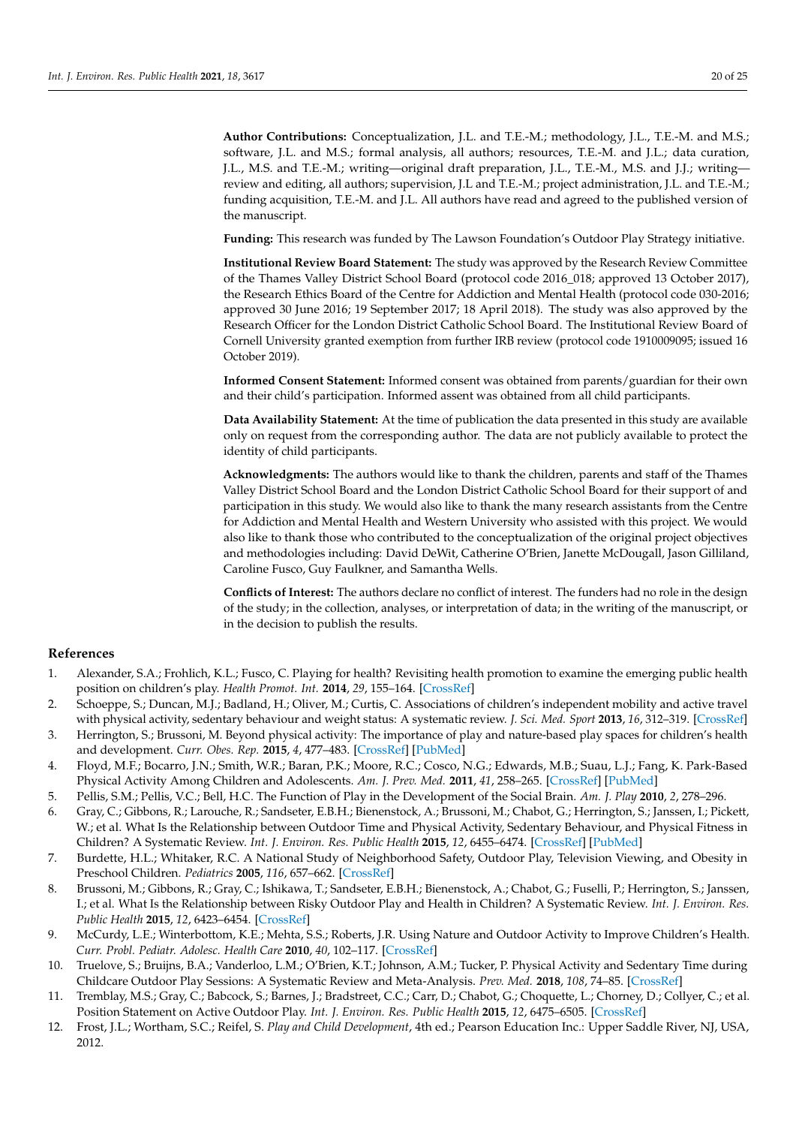**Author Contributions:** Conceptualization, J.L. and T.E.-M.; methodology, J.L., T.E.-M. and M.S.; software, J.L. and M.S.; formal analysis, all authors; resources, T.E.-M. and J.L.; data curation, J.L., M.S. and T.E.-M.; writing—original draft preparation, J.L., T.E.-M., M.S. and J.J.; writing review and editing, all authors; supervision, J.L and T.E.-M.; project administration, J.L. and T.E.-M.; funding acquisition, T.E.-M. and J.L. All authors have read and agreed to the published version of the manuscript.

**Funding:** This research was funded by The Lawson Foundation's Outdoor Play Strategy initiative.

**Institutional Review Board Statement:** The study was approved by the Research Review Committee of the Thames Valley District School Board (protocol code 2016\_018; approved 13 October 2017), the Research Ethics Board of the Centre for Addiction and Mental Health (protocol code 030-2016; approved 30 June 2016; 19 September 2017; 18 April 2018). The study was also approved by the Research Officer for the London District Catholic School Board. The Institutional Review Board of Cornell University granted exemption from further IRB review (protocol code 1910009095; issued 16 October 2019).

**Informed Consent Statement:** Informed consent was obtained from parents/guardian for their own and their child's participation. Informed assent was obtained from all child participants.

**Data Availability Statement:** At the time of publication the data presented in this study are available only on request from the corresponding author. The data are not publicly available to protect the identity of child participants.

**Acknowledgments:** The authors would like to thank the children, parents and staff of the Thames Valley District School Board and the London District Catholic School Board for their support of and participation in this study. We would also like to thank the many research assistants from the Centre for Addiction and Mental Health and Western University who assisted with this project. We would also like to thank those who contributed to the conceptualization of the original project objectives and methodologies including: David DeWit, Catherine O'Brien, Janette McDougall, Jason Gilliland, Caroline Fusco, Guy Faulkner, and Samantha Wells.

**Conflicts of Interest:** The authors declare no conflict of interest. The funders had no role in the design of the study; in the collection, analyses, or interpretation of data; in the writing of the manuscript, or in the decision to publish the results.

#### **References**

- <span id="page-19-0"></span>1. Alexander, S.A.; Frohlich, K.L.; Fusco, C. Playing for health? Revisiting health promotion to examine the emerging public health position on children's play. *Health Promot. Int.* **2014**, *29*, 155–164. [\[CrossRef\]](http://doi.org/10.1093/heapro/das042)
- 2. Schoeppe, S.; Duncan, M.J.; Badland, H.; Oliver, M.; Curtis, C. Associations of children's independent mobility and active travel with physical activity, sedentary behaviour and weight status: A systematic review. *J. Sci. Med. Sport* **2013**, *16*, 312–319. [\[CrossRef\]](http://doi.org/10.1016/j.jsams.2012.11.001)
- 3. Herrington, S.; Brussoni, M. Beyond physical activity: The importance of play and nature-based play spaces for children's health and development. *Curr. Obes. Rep.* **2015**, *4*, 477–483. [\[CrossRef\]](http://doi.org/10.1007/s13679-015-0179-2) [\[PubMed\]](http://www.ncbi.nlm.nih.gov/pubmed/26399254)
- <span id="page-19-6"></span>4. Floyd, M.F.; Bocarro, J.N.; Smith, W.R.; Baran, P.K.; Moore, R.C.; Cosco, N.G.; Edwards, M.B.; Suau, L.J.; Fang, K. Park-Based Physical Activity Among Children and Adolescents. *Am. J. Prev. Med.* **2011**, *41*, 258–265. [\[CrossRef\]](http://doi.org/10.1016/j.amepre.2011.04.013) [\[PubMed\]](http://www.ncbi.nlm.nih.gov/pubmed/21855739)
- 5. Pellis, S.M.; Pellis, V.C.; Bell, H.C. The Function of Play in the Development of the Social Brain. *Am. J. Play* **2010**, *2*, 278–296.
- <span id="page-19-1"></span>6. Gray, C.; Gibbons, R.; Larouche, R.; Sandseter, E.B.H.; Bienenstock, A.; Brussoni, M.; Chabot, G.; Herrington, S.; Janssen, I.; Pickett, W.; et al. What Is the Relationship between Outdoor Time and Physical Activity, Sedentary Behaviour, and Physical Fitness in Children? A Systematic Review. *Int. J. Environ. Res. Public Health* **2015**, *12*, 6455–6474. [\[CrossRef\]](http://doi.org/10.3390/ijerph120606455) [\[PubMed\]](http://www.ncbi.nlm.nih.gov/pubmed/26062039)
- <span id="page-19-2"></span>7. Burdette, H.L.; Whitaker, R.C. A National Study of Neighborhood Safety, Outdoor Play, Television Viewing, and Obesity in Preschool Children. *Pediatrics* **2005**, *116*, 657–662. [\[CrossRef\]](http://doi.org/10.1542/peds.2004-2443)
- 8. Brussoni, M.; Gibbons, R.; Gray, C.; Ishikawa, T.; Sandseter, E.B.H.; Bienenstock, A.; Chabot, G.; Fuselli, P.; Herrington, S.; Janssen, I.; et al. What Is the Relationship between Risky Outdoor Play and Health in Children? A Systematic Review. *Int. J. Environ. Res. Public Health* **2015**, *12*, 6423–6454. [\[CrossRef\]](http://doi.org/10.3390/ijerph120606423)
- <span id="page-19-4"></span>9. McCurdy, L.E.; Winterbottom, K.E.; Mehta, S.S.; Roberts, J.R. Using Nature and Outdoor Activity to Improve Children's Health. *Curr. Probl. Pediatr. Adolesc. Health Care* **2010**, *40*, 102–117. [\[CrossRef\]](http://doi.org/10.1016/j.cppeds.2010.02.003)
- 10. Truelove, S.; Bruijns, B.A.; Vanderloo, L.M.; O'Brien, K.T.; Johnson, A.M.; Tucker, P. Physical Activity and Sedentary Time during Childcare Outdoor Play Sessions: A Systematic Review and Meta-Analysis. *Prev. Med.* **2018**, *108*, 74–85. [\[CrossRef\]](http://doi.org/10.1016/j.ypmed.2017.12.022)
- <span id="page-19-3"></span>11. Tremblay, M.S.; Gray, C.; Babcock, S.; Barnes, J.; Bradstreet, C.C.; Carr, D.; Chabot, G.; Choquette, L.; Chorney, D.; Collyer, C.; et al. Position Statement on Active Outdoor Play. *Int. J. Environ. Res. Public Health* **2015**, *12*, 6475–6505. [\[CrossRef\]](http://doi.org/10.3390/ijerph120606475)
- <span id="page-19-5"></span>12. Frost, J.L.; Wortham, S.C.; Reifel, S. *Play and Child Development*, 4th ed.; Pearson Education Inc.: Upper Saddle River, NJ, USA, 2012.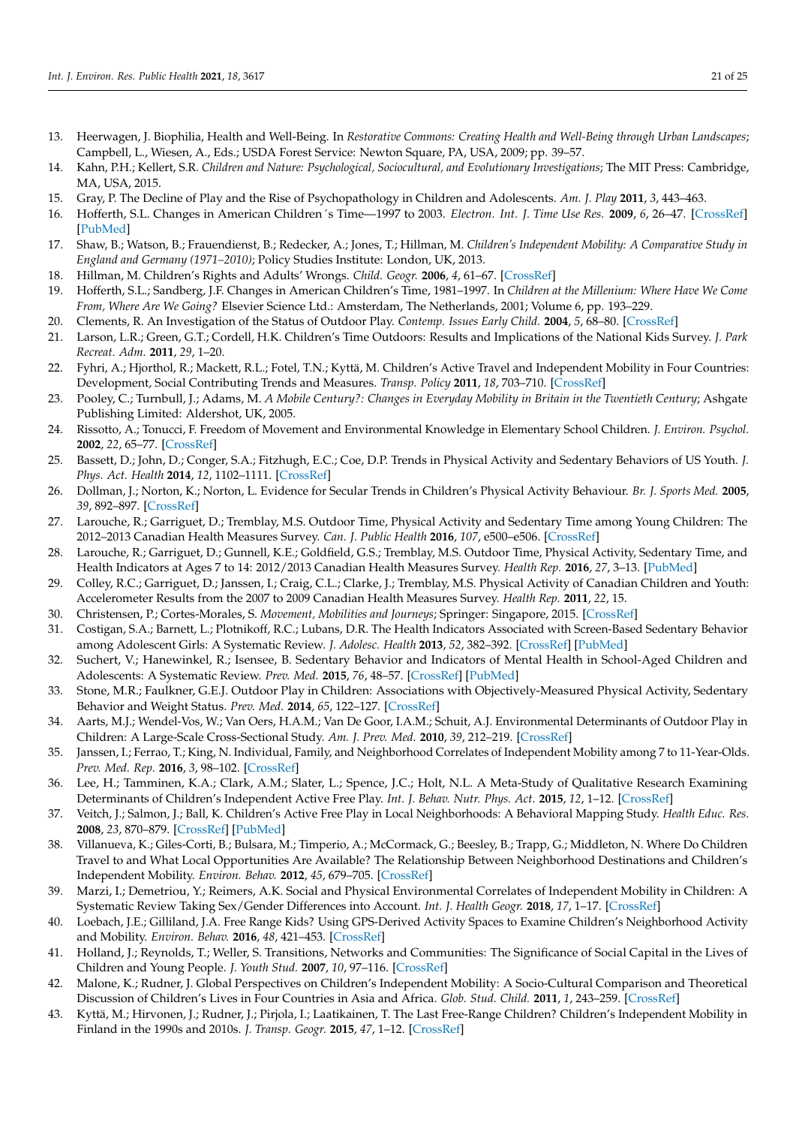- 13. Heerwagen, J. Biophilia, Health and Well-Being. In *Restorative Commons: Creating Health and Well-Being through Urban Landscapes*; Campbell, L., Wiesen, A., Eds.; USDA Forest Service: Newton Square, PA, USA, 2009; pp. 39–57.
- 14. Kahn, P.H.; Kellert, S.R. *Children and Nature: Psychological, Sociocultural, and Evolutionary Investigations*; The MIT Press: Cambridge, MA, USA, 2015.
- <span id="page-20-0"></span>15. Gray, P. The Decline of Play and the Rise of Psychopathology in Children and Adolescents. *Am. J. Play* **2011**, *3*, 443–463.
- 16. Hofferth, S.L. Changes in American Children´s Time—1997 to 2003. *Electron. Int. J. Time Use Res.* **2009**, *6*, 26–47. [\[CrossRef\]](http://doi.org/10.13085/eIJTUR.6.1.26-47) [\[PubMed\]](http://www.ncbi.nlm.nih.gov/pubmed/20852679)
- <span id="page-20-1"></span>17. Shaw, B.; Watson, B.; Frauendienst, B.; Redecker, A.; Jones, T.; Hillman, M. *Children's Independent Mobility: A Comparative Study in England and Germany (1971–2010)*; Policy Studies Institute: London, UK, 2013.
- <span id="page-20-2"></span>18. Hillman, M. Children's Rights and Adults' Wrongs. *Child. Geogr.* **2006**, *4*, 61–67. [\[CrossRef\]](http://doi.org/10.1080/14733280600577418)
- 19. Hofferth, S.L.; Sandberg, J.F. Changes in American Children's Time, 1981–1997. In *Children at the Millenium: Where Have We Come From, Where Are We Going?* Elsevier Science Ltd.: Amsterdam, The Netherlands, 2001; Volume 6, pp. 193–229.
- 20. Clements, R. An Investigation of the Status of Outdoor Play. *Contemp. Issues Early Child.* **2004**, *5*, 68–80. [\[CrossRef\]](http://doi.org/10.2304/ciec.2004.5.1.10)
- <span id="page-20-3"></span>21. Larson, L.R.; Green, G.T.; Cordell, H.K. Children's Time Outdoors: Results and Implications of the National Kids Survey. *J. Park Recreat. Adm.* **2011**, *29*, 1–20.
- <span id="page-20-4"></span>22. Fyhri, A.; Hjorthol, R.; Mackett, R.L.; Fotel, T.N.; Kyttä, M. Children's Active Travel and Independent Mobility in Four Countries: Development, Social Contributing Trends and Measures. *Transp. Policy* **2011**, *18*, 703–710. [\[CrossRef\]](http://doi.org/10.1016/j.tranpol.2011.01.005)
- <span id="page-20-24"></span>23. Pooley, C.; Turnbull, J.; Adams, M. *A Mobile Century?: Changes in Everyday Mobility in Britain in the Twentieth Century*; Ashgate Publishing Limited: Aldershot, UK, 2005.
- <span id="page-20-5"></span>24. Rissotto, A.; Tonucci, F. Freedom of Movement and Environmental Knowledge in Elementary School Children. *J. Environ. Psychol.* **2002**, *22*, 65–77. [\[CrossRef\]](http://doi.org/10.1006/jevp.2002.0243)
- <span id="page-20-6"></span>25. Bassett, D.; John, D.; Conger, S.A.; Fitzhugh, E.C.; Coe, D.P. Trends in Physical Activity and Sedentary Behaviors of US Youth. *J. Phys. Act. Health* **2014**, *12*, 1102–1111. [\[CrossRef\]](http://doi.org/10.1123/jpah.2014-0050)
- <span id="page-20-7"></span>26. Dollman, J.; Norton, K.; Norton, L. Evidence for Secular Trends in Children's Physical Activity Behaviour. *Br. J. Sports Med.* **2005**, *39*, 892–897. [\[CrossRef\]](http://doi.org/10.1136/bjsm.2004.016675)
- <span id="page-20-8"></span>27. Larouche, R.; Garriguet, D.; Tremblay, M.S. Outdoor Time, Physical Activity and Sedentary Time among Young Children: The 2012–2013 Canadian Health Measures Survey. *Can. J. Public Health* **2016**, *107*, e500–e506. [\[CrossRef\]](http://doi.org/10.17269/CJPH.107.5700)
- <span id="page-20-9"></span>28. Larouche, R.; Garriguet, D.; Gunnell, K.E.; Goldfield, G.S.; Tremblay, M.S. Outdoor Time, Physical Activity, Sedentary Time, and Health Indicators at Ages 7 to 14: 2012/2013 Canadian Health Measures Survey. *Health Rep.* **2016**, *27*, 3–13. [\[PubMed\]](http://www.ncbi.nlm.nih.gov/pubmed/27655167)
- <span id="page-20-10"></span>29. Colley, R.C.; Garriguet, D.; Janssen, I.; Craig, C.L.; Clarke, J.; Tremblay, M.S. Physical Activity of Canadian Children and Youth: Accelerometer Results from the 2007 to 2009 Canadian Health Measures Survey. *Health Rep.* **2011**, *22*, 15.
- <span id="page-20-11"></span>30. Christensen, P.; Cortes-Morales, S. *Movement, Mobilities and Journeys*; Springer: Singapore, 2015. [\[CrossRef\]](http://doi.org/10.1007/978-981-4585-93-4)
- 31. Costigan, S.A.; Barnett, L.; Plotnikoff, R.C.; Lubans, D.R. The Health Indicators Associated with Screen-Based Sedentary Behavior among Adolescent Girls: A Systematic Review. *J. Adolesc. Health* **2013**, *52*, 382–392. [\[CrossRef\]](http://doi.org/10.1016/j.jadohealth.2012.07.018) [\[PubMed\]](http://www.ncbi.nlm.nih.gov/pubmed/23299000)
- <span id="page-20-12"></span>32. Suchert, V.; Hanewinkel, R.; Isensee, B. Sedentary Behavior and Indicators of Mental Health in School-Aged Children and Adolescents: A Systematic Review. *Prev. Med.* **2015**, *76*, 48–57. [\[CrossRef\]](http://doi.org/10.1016/j.ypmed.2015.03.026) [\[PubMed\]](http://www.ncbi.nlm.nih.gov/pubmed/25895839)
- <span id="page-20-13"></span>33. Stone, M.R.; Faulkner, G.E.J. Outdoor Play in Children: Associations with Objectively-Measured Physical Activity, Sedentary Behavior and Weight Status. *Prev. Med.* **2014**, *65*, 122–127. [\[CrossRef\]](http://doi.org/10.1016/j.ypmed.2014.05.008)
- <span id="page-20-14"></span>34. Aarts, M.J.; Wendel-Vos, W.; Van Oers, H.A.M.; Van De Goor, I.A.M.; Schuit, A.J. Environmental Determinants of Outdoor Play in Children: A Large-Scale Cross-Sectional Study. *Am. J. Prev. Med.* **2010**, *39*, 212–219. [\[CrossRef\]](http://doi.org/10.1016/j.amepre.2010.05.008)
- <span id="page-20-15"></span>35. Janssen, I.; Ferrao, T.; King, N. Individual, Family, and Neighborhood Correlates of Independent Mobility among 7 to 11-Year-Olds. *Prev. Med. Rep.* **2016**, *3*, 98–102. [\[CrossRef\]](http://doi.org/10.1016/j.pmedr.2015.12.008)
- <span id="page-20-20"></span>36. Lee, H.; Tamminen, K.A.; Clark, A.M.; Slater, L.; Spence, J.C.; Holt, N.L. A Meta-Study of Qualitative Research Examining Determinants of Children's Independent Active Free Play. *Int. J. Behav. Nutr. Phys. Act.* **2015**, *12*, 1–12. [\[CrossRef\]](http://doi.org/10.1186/s12966-015-0165-9)
- <span id="page-20-22"></span>37. Veitch, J.; Salmon, J.; Ball, K. Children's Active Free Play in Local Neighborhoods: A Behavioral Mapping Study. *Health Educ. Res.* **2008**, *23*, 870–879. [\[CrossRef\]](http://doi.org/10.1093/her/cym074) [\[PubMed\]](http://www.ncbi.nlm.nih.gov/pubmed/18039726)
- <span id="page-20-23"></span>38. Villanueva, K.; Giles-Corti, B.; Bulsara, M.; Timperio, A.; McCormack, G.; Beesley, B.; Trapp, G.; Middleton, N. Where Do Children Travel to and What Local Opportunities Are Available? The Relationship Between Neighborhood Destinations and Children's Independent Mobility. *Environ. Behav.* **2012**, *45*, 679–705. [\[CrossRef\]](http://doi.org/10.1177/0013916512440705)
- <span id="page-20-21"></span>39. Marzi, I.; Demetriou, Y.; Reimers, A.K. Social and Physical Environmental Correlates of Independent Mobility in Children: A Systematic Review Taking Sex/Gender Differences into Account. *Int. J. Health Geogr.* **2018**, *17*, 1–17. [\[CrossRef\]](http://doi.org/10.1186/s12942-018-0145-9)
- <span id="page-20-16"></span>40. Loebach, J.E.; Gilliland, J.A. Free Range Kids? Using GPS-Derived Activity Spaces to Examine Children's Neighborhood Activity and Mobility. *Environ. Behav.* **2016**, *48*, 421–453. [\[CrossRef\]](http://doi.org/10.1177/0013916514543177)
- <span id="page-20-17"></span>41. Holland, J.; Reynolds, T.; Weller, S. Transitions, Networks and Communities: The Significance of Social Capital in the Lives of Children and Young People. *J. Youth Stud.* **2007**, *10*, 97–116. [\[CrossRef\]](http://doi.org/10.1080/13676260600881474)
- <span id="page-20-18"></span>42. Malone, K.; Rudner, J. Global Perspectives on Children's Independent Mobility: A Socio-Cultural Comparison and Theoretical Discussion of Children's Lives in Four Countries in Asia and Africa. *Glob. Stud. Child.* **2011**, *1*, 243–259. [\[CrossRef\]](http://doi.org/10.2304/gsch.2011.1.3.243)
- <span id="page-20-19"></span>43. Kyttä, M.; Hirvonen, J.; Rudner, J.; Pirjola, I.; Laatikainen, T. The Last Free-Range Children? Children's Independent Mobility in Finland in the 1990s and 2010s. *J. Transp. Geogr.* **2015**, *47*, 1–12. [\[CrossRef\]](http://doi.org/10.1016/j.jtrangeo.2015.07.004)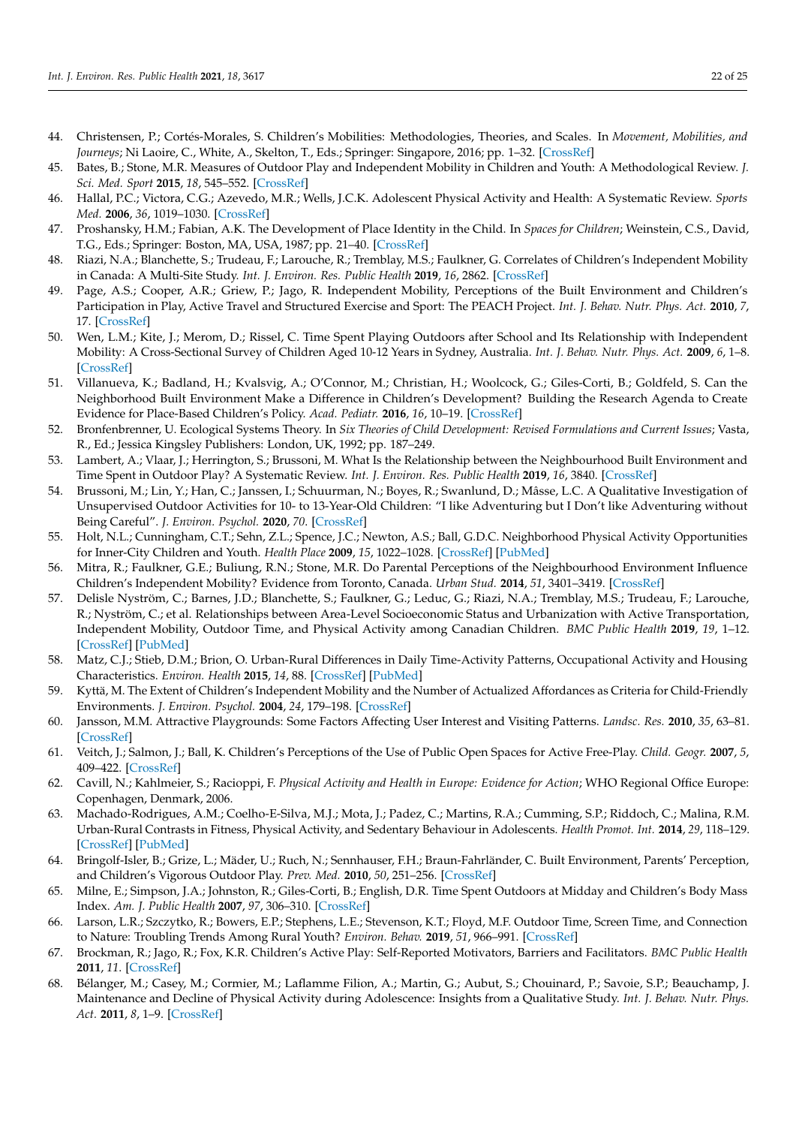- <span id="page-21-0"></span>44. Christensen, P.; Cortés-Morales, S. Children's Mobilities: Methodologies, Theories, and Scales. In *Movement, Mobilities, and Journeys*; Ni Laoire, C., White, A., Skelton, T., Eds.; Springer: Singapore, 2016; pp. 1–32. [\[CrossRef\]](http://doi.org/10.1007/978-981-4585-93-4_17-2)
- 45. Bates, B.; Stone, M.R. Measures of Outdoor Play and Independent Mobility in Children and Youth: A Methodological Review. *J. Sci. Med. Sport* **2015**, *18*, 545–552. [\[CrossRef\]](http://doi.org/10.1016/j.jsams.2014.07.006)
- <span id="page-21-1"></span>46. Hallal, P.C.; Victora, C.G.; Azevedo, M.R.; Wells, J.C.K. Adolescent Physical Activity and Health: A Systematic Review. *Sports Med.* **2006**, *36*, 1019–1030. [\[CrossRef\]](http://doi.org/10.2165/00007256-200636120-00003)
- <span id="page-21-2"></span>47. Proshansky, H.M.; Fabian, A.K. The Development of Place Identity in the Child. In *Spaces for Children*; Weinstein, C.S., David, T.G., Eds.; Springer: Boston, MA, USA, 1987; pp. 21–40. [\[CrossRef\]](http://doi.org/10.1007/978-1-4684-5227-3_2)
- <span id="page-21-3"></span>48. Riazi, N.A.; Blanchette, S.; Trudeau, F.; Larouche, R.; Tremblay, M.S.; Faulkner, G. Correlates of Children's Independent Mobility in Canada: A Multi-Site Study. *Int. J. Environ. Res. Public Health* **2019**, *16*, 2862. [\[CrossRef\]](http://doi.org/10.3390/ijerph16162862)
- <span id="page-21-4"></span>49. Page, A.S.; Cooper, A.R.; Griew, P.; Jago, R. Independent Mobility, Perceptions of the Built Environment and Children's Participation in Play, Active Travel and Structured Exercise and Sport: The PEACH Project. *Int. J. Behav. Nutr. Phys. Act.* **2010**, *7*, 17. [\[CrossRef\]](http://doi.org/10.1186/1479-5868-7-17)
- <span id="page-21-5"></span>50. Wen, L.M.; Kite, J.; Merom, D.; Rissel, C. Time Spent Playing Outdoors after School and Its Relationship with Independent Mobility: A Cross-Sectional Survey of Children Aged 10-12 Years in Sydney, Australia. *Int. J. Behav. Nutr. Phys. Act.* **2009**, *6*, 1–8. [\[CrossRef\]](http://doi.org/10.1186/1479-5868-6-15)
- <span id="page-21-6"></span>51. Villanueva, K.; Badland, H.; Kvalsvig, A.; O'Connor, M.; Christian, H.; Woolcock, G.; Giles-Corti, B.; Goldfeld, S. Can the Neighborhood Built Environment Make a Difference in Children's Development? Building the Research Agenda to Create Evidence for Place-Based Children's Policy. *Acad. Pediatr.* **2016**, *16*, 10–19. [\[CrossRef\]](http://doi.org/10.1016/j.acap.2015.09.006)
- <span id="page-21-7"></span>52. Bronfenbrenner, U. Ecological Systems Theory. In *Six Theories of Child Development: Revised Formulations and Current Issues*; Vasta, R., Ed.; Jessica Kingsley Publishers: London, UK, 1992; pp. 187–249.
- <span id="page-21-8"></span>53. Lambert, A.; Vlaar, J.; Herrington, S.; Brussoni, M. What Is the Relationship between the Neighbourhood Built Environment and Time Spent in Outdoor Play? A Systematic Review. *Int. J. Environ. Res. Public Health* **2019**, *16*, 3840. [\[CrossRef\]](http://doi.org/10.3390/ijerph16203840)
- <span id="page-21-9"></span>54. Brussoni, M.; Lin, Y.; Han, C.; Janssen, I.; Schuurman, N.; Boyes, R.; Swanlund, D.; Mâsse, L.C. A Qualitative Investigation of Unsupervised Outdoor Activities for 10- to 13-Year-Old Children: "I like Adventuring but I Don't like Adventuring without Being Careful". *J. Environ. Psychol.* **2020**, *70*. [\[CrossRef\]](http://doi.org/10.1016/j.jenvp.2020.101460)
- 55. Holt, N.L.; Cunningham, C.T.; Sehn, Z.L.; Spence, J.C.; Newton, A.S.; Ball, G.D.C. Neighborhood Physical Activity Opportunities for Inner-City Children and Youth. *Health Place* **2009**, *15*, 1022–1028. [\[CrossRef\]](http://doi.org/10.1016/j.healthplace.2009.04.002) [\[PubMed\]](http://www.ncbi.nlm.nih.gov/pubmed/19457701)
- <span id="page-21-10"></span>56. Mitra, R.; Faulkner, G.E.; Buliung, R.N.; Stone, M.R. Do Parental Perceptions of the Neighbourhood Environment Influence Children's Independent Mobility? Evidence from Toronto, Canada. *Urban Stud.* **2014**, *51*, 3401–3419. [\[CrossRef\]](http://doi.org/10.1177/0042098013519140)
- <span id="page-21-11"></span>57. Delisle Nyström, C.; Barnes, J.D.; Blanchette, S.; Faulkner, G.; Leduc, G.; Riazi, N.A.; Tremblay, M.S.; Trudeau, F.; Larouche, R.; Nyström, C.; et al. Relationships between Area-Level Socioeconomic Status and Urbanization with Active Transportation, Independent Mobility, Outdoor Time, and Physical Activity among Canadian Children. *BMC Public Health* **2019**, *19*, 1–12. [\[CrossRef\]](http://doi.org/10.1186/s12889-019-7420-y) [\[PubMed\]](http://www.ncbi.nlm.nih.gov/pubmed/31399049)
- <span id="page-21-12"></span>58. Matz, C.J.; Stieb, D.M.; Brion, O. Urban-Rural Differences in Daily Time-Activity Patterns, Occupational Activity and Housing Characteristics. *Environ. Health* **2015**, *14*, 88. [\[CrossRef\]](http://doi.org/10.1186/s12940-015-0075-y) [\[PubMed\]](http://www.ncbi.nlm.nih.gov/pubmed/26566986)
- <span id="page-21-13"></span>59. Kyttä, M. The Extent of Children's Independent Mobility and the Number of Actualized Affordances as Criteria for Child-Friendly Environments. *J. Environ. Psychol.* **2004**, *24*, 179–198. [\[CrossRef\]](http://doi.org/10.1016/S0272-4944(03)00073-2)
- <span id="page-21-14"></span>60. Jansson, M.M. Attractive Playgrounds: Some Factors Affecting User Interest and Visiting Patterns. *Landsc. Res.* **2010**, *35*, 63–81. [\[CrossRef\]](http://doi.org/10.1080/01426390903414950)
- <span id="page-21-15"></span>61. Veitch, J.; Salmon, J.; Ball, K. Children's Perceptions of the Use of Public Open Spaces for Active Free-Play. *Child. Geogr.* **2007**, *5*, 409–422. [\[CrossRef\]](http://doi.org/10.1080/14733280701631874)
- <span id="page-21-16"></span>62. Cavill, N.; Kahlmeier, S.; Racioppi, F. *Physical Activity and Health in Europe: Evidence for Action*; WHO Regional Office Europe: Copenhagen, Denmark, 2006.
- <span id="page-21-17"></span>63. Machado-Rodrigues, A.M.; Coelho-E-Silva, M.J.; Mota, J.; Padez, C.; Martins, R.A.; Cumming, S.P.; Riddoch, C.; Malina, R.M. Urban-Rural Contrasts in Fitness, Physical Activity, and Sedentary Behaviour in Adolescents. *Health Promot. Int.* **2014**, *29*, 118–129. [\[CrossRef\]](http://doi.org/10.1093/heapro/das054) [\[PubMed\]](http://www.ncbi.nlm.nih.gov/pubmed/23086894)
- <span id="page-21-18"></span>64. Bringolf-Isler, B.; Grize, L.; Mäder, U.; Ruch, N.; Sennhauser, F.H.; Braun-Fahrländer, C. Built Environment, Parents' Perception, and Children's Vigorous Outdoor Play. *Prev. Med.* **2010**, *50*, 251–256. [\[CrossRef\]](http://doi.org/10.1016/j.ypmed.2010.03.008)
- <span id="page-21-19"></span>65. Milne, E.; Simpson, J.A.; Johnston, R.; Giles-Corti, B.; English, D.R. Time Spent Outdoors at Midday and Children's Body Mass Index. *Am. J. Public Health* **2007**, *97*, 306–310. [\[CrossRef\]](http://doi.org/10.2105/AJPH.2005.080499)
- <span id="page-21-20"></span>66. Larson, L.R.; Szczytko, R.; Bowers, E.P.; Stephens, L.E.; Stevenson, K.T.; Floyd, M.F. Outdoor Time, Screen Time, and Connection to Nature: Troubling Trends Among Rural Youth? *Environ. Behav.* **2019**, *51*, 966–991. [\[CrossRef\]](http://doi.org/10.1177/0013916518806686)
- <span id="page-21-21"></span>67. Brockman, R.; Jago, R.; Fox, K.R. Children's Active Play: Self-Reported Motivators, Barriers and Facilitators. *BMC Public Health* **2011**, *11*. [\[CrossRef\]](http://doi.org/10.1186/1471-2458-11-461)
- <span id="page-21-22"></span>68. Bélanger, M.; Casey, M.; Cormier, M.; Laflamme Filion, A.; Martin, G.; Aubut, S.; Chouinard, P.; Savoie, S.P.; Beauchamp, J. Maintenance and Decline of Physical Activity during Adolescence: Insights from a Qualitative Study. *Int. J. Behav. Nutr. Phys. Act.* **2011**, *8*, 1–9. [\[CrossRef\]](http://doi.org/10.1186/1479-5868-8-117)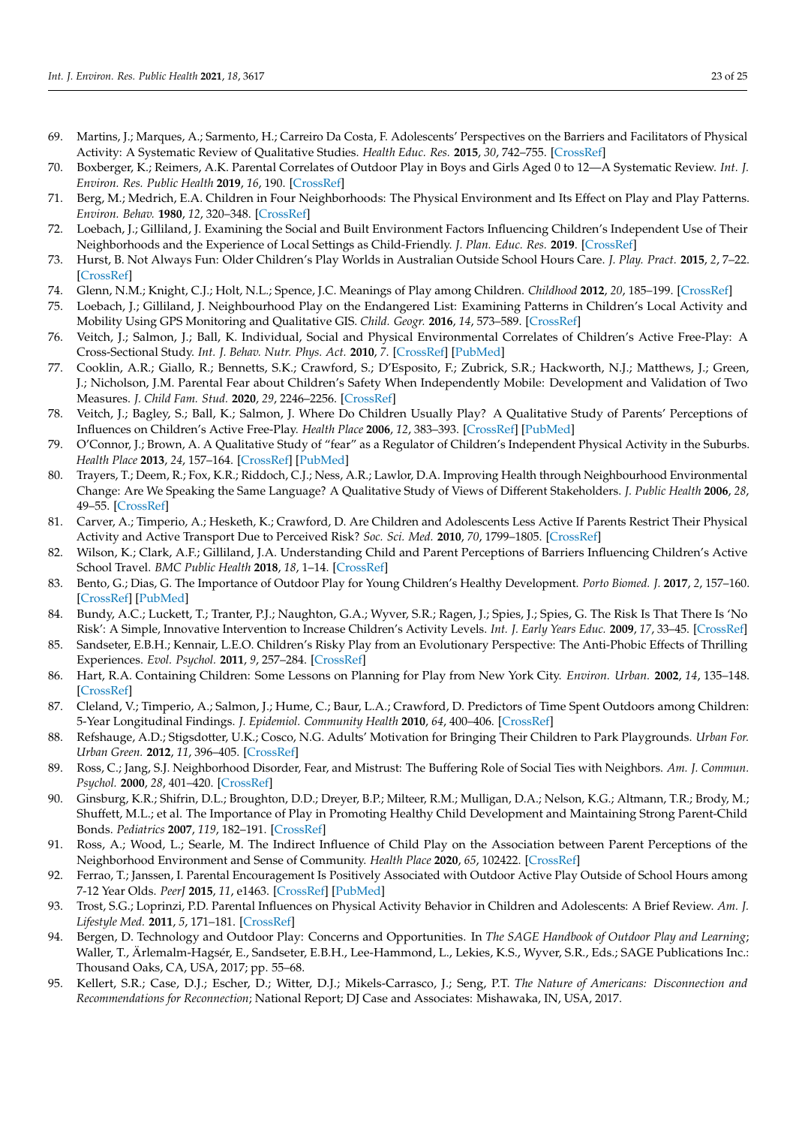- <span id="page-22-0"></span>69. Martins, J.; Marques, A.; Sarmento, H.; Carreiro Da Costa, F. Adolescents' Perspectives on the Barriers and Facilitators of Physical Activity: A Systematic Review of Qualitative Studies. *Health Educ. Res.* **2015**, *30*, 742–755. [\[CrossRef\]](http://doi.org/10.1093/her/cyv042)
- <span id="page-22-1"></span>70. Boxberger, K.; Reimers, A.K. Parental Correlates of Outdoor Play in Boys and Girls Aged 0 to 12—A Systematic Review. *Int. J. Environ. Res. Public Health* **2019**, *16*, 190. [\[CrossRef\]](http://doi.org/10.3390/ijerph16020190)
- <span id="page-22-2"></span>71. Berg, M.; Medrich, E.A. Children in Four Neighborhoods: The Physical Environment and Its Effect on Play and Play Patterns. *Environ. Behav.* **1980**, *12*, 320–348. [\[CrossRef\]](http://doi.org/10.1177/0013916580123003)
- <span id="page-22-3"></span>72. Loebach, J.; Gilliland, J. Examining the Social and Built Environment Factors Influencing Children's Independent Use of Their Neighborhoods and the Experience of Local Settings as Child-Friendly. *J. Plan. Educ. Res.* **2019**. [\[CrossRef\]](http://doi.org/10.1177/0739456X19828444)
- <span id="page-22-4"></span>73. Hurst, B. Not Always Fun: Older Children's Play Worlds in Australian Outside School Hours Care. *J. Play. Pract.* **2015**, *2*, 7–22. [\[CrossRef\]](http://doi.org/10.1332/205316215X14289372671159)
- 74. Glenn, N.M.; Knight, C.J.; Holt, N.L.; Spence, J.C. Meanings of Play among Children. *Childhood* **2012**, *20*, 185–199. [\[CrossRef\]](http://doi.org/10.1177/0907568212454751)
- <span id="page-22-10"></span>75. Loebach, J.; Gilliland, J. Neighbourhood Play on the Endangered List: Examining Patterns in Children's Local Activity and Mobility Using GPS Monitoring and Qualitative GIS. *Child. Geogr.* **2016**, *14*, 573–589. [\[CrossRef\]](http://doi.org/10.1080/14733285.2016.1140126)
- <span id="page-22-5"></span>76. Veitch, J.; Salmon, J.; Ball, K. Individual, Social and Physical Environmental Correlates of Children's Active Free-Play: A Cross-Sectional Study. *Int. J. Behav. Nutr. Phys. Act.* **2010**, *7*. [\[CrossRef\]](http://doi.org/10.1186/1479-5868-7-11) [\[PubMed\]](http://www.ncbi.nlm.nih.gov/pubmed/20181061)
- <span id="page-22-6"></span>77. Cooklin, A.R.; Giallo, R.; Bennetts, S.K.; Crawford, S.; D'Esposito, F.; Zubrick, S.R.; Hackworth, N.J.; Matthews, J.; Green, J.; Nicholson, J.M. Parental Fear about Children's Safety When Independently Mobile: Development and Validation of Two Measures. *J. Child Fam. Stud.* **2020**, *29*, 2246–2256. [\[CrossRef\]](http://doi.org/10.1007/s10826-020-01712-6)
- <span id="page-22-8"></span>78. Veitch, J.; Bagley, S.; Ball, K.; Salmon, J. Where Do Children Usually Play? A Qualitative Study of Parents' Perceptions of Influences on Children's Active Free-Play. *Health Place* **2006**, *12*, 383–393. [\[CrossRef\]](http://doi.org/10.1016/j.healthplace.2005.02.009) [\[PubMed\]](http://www.ncbi.nlm.nih.gov/pubmed/16814197)
- <span id="page-22-9"></span>79. O'Connor, J.; Brown, A. A Qualitative Study of "fear" as a Regulator of Children's Independent Physical Activity in the Suburbs. *Health Place* **2013**, *24*, 157–164. [\[CrossRef\]](http://doi.org/10.1016/j.healthplace.2013.09.002) [\[PubMed\]](http://www.ncbi.nlm.nih.gov/pubmed/24112962)
- <span id="page-22-7"></span>80. Trayers, T.; Deem, R.; Fox, K.R.; Riddoch, C.J.; Ness, A.R.; Lawlor, D.A. Improving Health through Neighbourhood Environmental Change: Are We Speaking the Same Language? A Qualitative Study of Views of Different Stakeholders. *J. Public Health* **2006**, *28*, 49–55. [\[CrossRef\]](http://doi.org/10.1093/pubmed/fdi075)
- <span id="page-22-11"></span>81. Carver, A.; Timperio, A.; Hesketh, K.; Crawford, D. Are Children and Adolescents Less Active If Parents Restrict Their Physical Activity and Active Transport Due to Perceived Risk? *Soc. Sci. Med.* **2010**, *70*, 1799–1805. [\[CrossRef\]](http://doi.org/10.1016/j.socscimed.2010.02.010)
- <span id="page-22-12"></span>82. Wilson, K.; Clark, A.F.; Gilliland, J.A. Understanding Child and Parent Perceptions of Barriers Influencing Children's Active School Travel. *BMC Public Health* **2018**, *18*, 1–14. [\[CrossRef\]](http://doi.org/10.1186/s12889-018-5874-y)
- <span id="page-22-13"></span>83. Bento, G.; Dias, G. The Importance of Outdoor Play for Young Children's Healthy Development. *Porto Biomed. J.* **2017**, *2*, 157–160. [\[CrossRef\]](http://doi.org/10.1016/j.pbj.2017.03.003) [\[PubMed\]](http://www.ncbi.nlm.nih.gov/pubmed/32258612)
- 84. Bundy, A.C.; Luckett, T.; Tranter, P.J.; Naughton, G.A.; Wyver, S.R.; Ragen, J.; Spies, J.; Spies, G. The Risk Is That There Is 'No Risk': A Simple, Innovative Intervention to Increase Children's Activity Levels. *Int. J. Early Years Educ.* **2009**, *17*, 33–45. [\[CrossRef\]](http://doi.org/10.1080/09669760802699878)
- 85. Sandseter, E.B.H.; Kennair, L.E.O. Children's Risky Play from an Evolutionary Perspective: The Anti-Phobic Effects of Thrilling Experiences. *Evol. Psychol.* **2011**, *9*, 257–284. [\[CrossRef\]](http://doi.org/10.1177/147470491100900212)
- <span id="page-22-14"></span>86. Hart, R.A. Containing Children: Some Lessons on Planning for Play from New York City. *Environ. Urban.* **2002**, *14*, 135–148. [\[CrossRef\]](http://doi.org/10.1177/095624780201400211)
- <span id="page-22-15"></span>87. Cleland, V.; Timperio, A.; Salmon, J.; Hume, C.; Baur, L.A.; Crawford, D. Predictors of Time Spent Outdoors among Children: 5-Year Longitudinal Findings. *J. Epidemiol. Community Health* **2010**, *64*, 400–406. [\[CrossRef\]](http://doi.org/10.1136/jech.2009.087460)
- <span id="page-22-16"></span>88. Refshauge, A.D.; Stigsdotter, U.K.; Cosco, N.G. Adults' Motivation for Bringing Their Children to Park Playgrounds. *Urban For. Urban Green.* **2012**, *11*, 396–405. [\[CrossRef\]](http://doi.org/10.1016/j.ufug.2012.06.002)
- <span id="page-22-17"></span>89. Ross, C.; Jang, S.J. Neighborhood Disorder, Fear, and Mistrust: The Buffering Role of Social Ties with Neighbors. *Am. J. Commun. Psychol.* **2000**, *28*, 401–420. [\[CrossRef\]](http://doi.org/10.1023/A:1005137713332)
- <span id="page-22-18"></span>90. Ginsburg, K.R.; Shifrin, D.L.; Broughton, D.D.; Dreyer, B.P.; Milteer, R.M.; Mulligan, D.A.; Nelson, K.G.; Altmann, T.R.; Brody, M.; Shuffett, M.L.; et al. The Importance of Play in Promoting Healthy Child Development and Maintaining Strong Parent-Child Bonds. *Pediatrics* **2007**, *119*, 182–191. [\[CrossRef\]](http://doi.org/10.1542/peds.2006-2697)
- <span id="page-22-19"></span>91. Ross, A.; Wood, L.; Searle, M. The Indirect Influence of Child Play on the Association between Parent Perceptions of the Neighborhood Environment and Sense of Community. *Health Place* **2020**, *65*, 102422. [\[CrossRef\]](http://doi.org/10.1016/j.healthplace.2020.102422)
- <span id="page-22-20"></span>92. Ferrao, T.; Janssen, I. Parental Encouragement Is Positively Associated with Outdoor Active Play Outside of School Hours among 7-12 Year Olds. *PeerJ* **2015**, *11*, e1463. [\[CrossRef\]](http://doi.org/10.7717/peerj.1463) [\[PubMed\]](http://www.ncbi.nlm.nih.gov/pubmed/26644990)
- <span id="page-22-21"></span>93. Trost, S.G.; Loprinzi, P.D. Parental Influences on Physical Activity Behavior in Children and Adolescents: A Brief Review. *Am. J. Lifestyle Med.* **2011**, *5*, 171–181. [\[CrossRef\]](http://doi.org/10.1177/1559827610387236)
- <span id="page-22-22"></span>94. Bergen, D. Technology and Outdoor Play: Concerns and Opportunities. In *The SAGE Handbook of Outdoor Play and Learning*; Waller, T., Ärlemalm-Hagsér, E., Sandseter, E.B.H., Lee-Hammond, L., Lekies, K.S., Wyver, S.R., Eds.; SAGE Publications Inc.: Thousand Oaks, CA, USA, 2017; pp. 55–68.
- <span id="page-22-23"></span>95. Kellert, S.R.; Case, D.J.; Escher, D.; Witter, D.J.; Mikels-Carrasco, J.; Seng, P.T. *The Nature of Americans: Disconnection and Recommendations for Reconnection*; National Report; DJ Case and Associates: Mishawaka, IN, USA, 2017.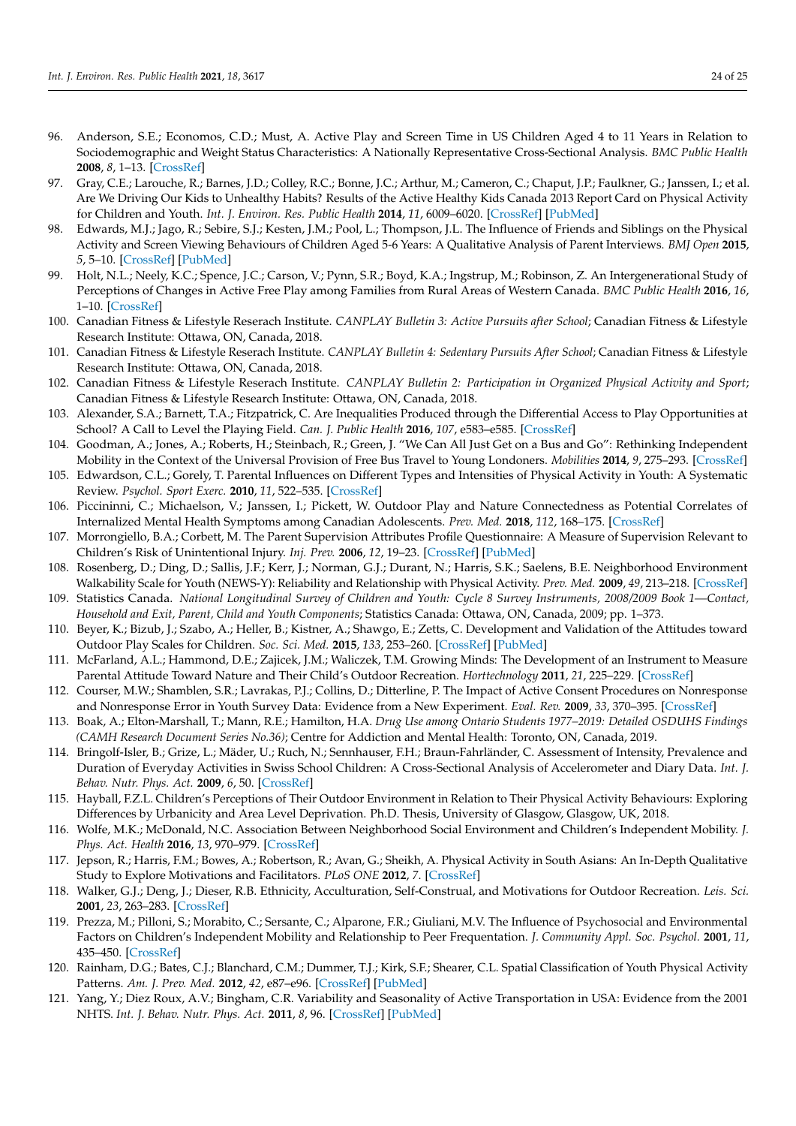- <span id="page-23-0"></span>96. Anderson, S.E.; Economos, C.D.; Must, A. Active Play and Screen Time in US Children Aged 4 to 11 Years in Relation to Sociodemographic and Weight Status Characteristics: A Nationally Representative Cross-Sectional Analysis. *BMC Public Health* **2008**, *8*, 1–13. [\[CrossRef\]](http://doi.org/10.1186/1471-2458-8-366)
- <span id="page-23-1"></span>97. Gray, C.E.; Larouche, R.; Barnes, J.D.; Colley, R.C.; Bonne, J.C.; Arthur, M.; Cameron, C.; Chaput, J.P.; Faulkner, G.; Janssen, I.; et al. Are We Driving Our Kids to Unhealthy Habits? Results of the Active Healthy Kids Canada 2013 Report Card on Physical Activity for Children and Youth. *Int. J. Environ. Res. Public Health* **2014**, *11*, 6009–6020. [\[CrossRef\]](http://doi.org/10.3390/ijerph110606009) [\[PubMed\]](http://www.ncbi.nlm.nih.gov/pubmed/24905246)
- <span id="page-23-2"></span>98. Edwards, M.J.; Jago, R.; Sebire, S.J.; Kesten, J.M.; Pool, L.; Thompson, J.L. The Influence of Friends and Siblings on the Physical Activity and Screen Viewing Behaviours of Children Aged 5-6 Years: A Qualitative Analysis of Parent Interviews. *BMJ Open* **2015**, *5*, 5–10. [\[CrossRef\]](http://doi.org/10.1136/bmjopen-2014-006593) [\[PubMed\]](http://www.ncbi.nlm.nih.gov/pubmed/25976759)
- <span id="page-23-3"></span>99. Holt, N.L.; Neely, K.C.; Spence, J.C.; Carson, V.; Pynn, S.R.; Boyd, K.A.; Ingstrup, M.; Robinson, Z. An Intergenerational Study of Perceptions of Changes in Active Free Play among Families from Rural Areas of Western Canada. *BMC Public Health* **2016**, *16*, 1–10. [\[CrossRef\]](http://doi.org/10.1186/s12889-016-3490-2)
- <span id="page-23-4"></span>100. Canadian Fitness & Lifestyle Reserach Institute. *CANPLAY Bulletin 3: Active Pursuits after School*; Canadian Fitness & Lifestyle Research Institute: Ottawa, ON, Canada, 2018.
- 101. Canadian Fitness & Lifestyle Reserach Institute. *CANPLAY Bulletin 4: Sedentary Pursuits After School*; Canadian Fitness & Lifestyle Research Institute: Ottawa, ON, Canada, 2018.
- <span id="page-23-5"></span>102. Canadian Fitness & Lifestyle Reserach Institute. *CANPLAY Bulletin 2: Participation in Organized Physical Activity and Sport*; Canadian Fitness & Lifestyle Research Institute: Ottawa, ON, Canada, 2018.
- <span id="page-23-6"></span>103. Alexander, S.A.; Barnett, T.A.; Fitzpatrick, C. Are Inequalities Produced through the Differential Access to Play Opportunities at School? A Call to Level the Playing Field. *Can. J. Public Health* **2016**, *107*, e583–e585. [\[CrossRef\]](http://doi.org/10.17269/CJPH.107.5471)
- <span id="page-23-7"></span>104. Goodman, A.; Jones, A.; Roberts, H.; Steinbach, R.; Green, J. "We Can All Just Get on a Bus and Go": Rethinking Independent Mobility in the Context of the Universal Provision of Free Bus Travel to Young Londoners. *Mobilities* **2014**, *9*, 275–293. [\[CrossRef\]](http://doi.org/10.1080/17450101.2013.782848)
- <span id="page-23-8"></span>105. Edwardson, C.L.; Gorely, T. Parental Influences on Different Types and Intensities of Physical Activity in Youth: A Systematic Review. *Psychol. Sport Exerc.* **2010**, *11*, 522–535. [\[CrossRef\]](http://doi.org/10.1016/j.psychsport.2010.05.001)
- <span id="page-23-9"></span>106. Piccininni, C.; Michaelson, V.; Janssen, I.; Pickett, W. Outdoor Play and Nature Connectedness as Potential Correlates of Internalized Mental Health Symptoms among Canadian Adolescents. *Prev. Med.* **2018**, *112*, 168–175. [\[CrossRef\]](http://doi.org/10.1016/j.ypmed.2018.04.020)
- <span id="page-23-10"></span>107. Morrongiello, B.A.; Corbett, M. The Parent Supervision Attributes Profile Questionnaire: A Measure of Supervision Relevant to Children's Risk of Unintentional Injury. *Inj. Prev.* **2006**, *12*, 19–23. [\[CrossRef\]](http://doi.org/10.1136/ip.2005.008862) [\[PubMed\]](http://www.ncbi.nlm.nih.gov/pubmed/16461415)
- <span id="page-23-11"></span>108. Rosenberg, D.; Ding, D.; Sallis, J.F.; Kerr, J.; Norman, G.J.; Durant, N.; Harris, S.K.; Saelens, B.E. Neighborhood Environment Walkability Scale for Youth (NEWS-Y): Reliability and Relationship with Physical Activity. *Prev. Med.* **2009**, *49*, 213–218. [\[CrossRef\]](http://doi.org/10.1016/j.ypmed.2009.07.011)
- <span id="page-23-12"></span>109. Statistics Canada. *National Longitudinal Survey of Children and Youth: Cycle 8 Survey Instruments, 2008/2009 Book 1—Contact, Household and Exit, Parent, Child and Youth Components*; Statistics Canada: Ottawa, ON, Canada, 2009; pp. 1–373.
- <span id="page-23-13"></span>110. Beyer, K.; Bizub, J.; Szabo, A.; Heller, B.; Kistner, A.; Shawgo, E.; Zetts, C. Development and Validation of the Attitudes toward Outdoor Play Scales for Children. *Soc. Sci. Med.* **2015**, *133*, 253–260. [\[CrossRef\]](http://doi.org/10.1016/j.socscimed.2014.10.033) [\[PubMed\]](http://www.ncbi.nlm.nih.gov/pubmed/25459206)
- <span id="page-23-14"></span>111. McFarland, A.L.; Hammond, D.E.; Zajicek, J.M.; Waliczek, T.M. Growing Minds: The Development of an Instrument to Measure Parental Attitude Toward Nature and Their Child's Outdoor Recreation. *Horttechnology* **2011**, *21*, 225–229. [\[CrossRef\]](http://doi.org/10.21273/HORTTECH.21.2.225)
- <span id="page-23-15"></span>112. Courser, M.W.; Shamblen, S.R.; Lavrakas, P.J.; Collins, D.; Ditterline, P. The Impact of Active Consent Procedures on Nonresponse and Nonresponse Error in Youth Survey Data: Evidence from a New Experiment. *Eval. Rev.* **2009**, *33*, 370–395. [\[CrossRef\]](http://doi.org/10.1177/0193841X09337228)
- <span id="page-23-16"></span>113. Boak, A.; Elton-Marshall, T.; Mann, R.E.; Hamilton, H.A. *Drug Use among Ontario Students 1977–2019: Detailed OSDUHS Findings (CAMH Research Document Series No.36)*; Centre for Addiction and Mental Health: Toronto, ON, Canada, 2019.
- <span id="page-23-17"></span>114. Bringolf-Isler, B.; Grize, L.; Mäder, U.; Ruch, N.; Sennhauser, F.H.; Braun-Fahrländer, C. Assessment of Intensity, Prevalence and Duration of Everyday Activities in Swiss School Children: A Cross-Sectional Analysis of Accelerometer and Diary Data. *Int. J. Behav. Nutr. Phys. Act.* **2009**, *6*, 50. [\[CrossRef\]](http://doi.org/10.1186/1479-5868-6-50)
- <span id="page-23-18"></span>115. Hayball, F.Z.L. Children's Perceptions of Their Outdoor Environment in Relation to Their Physical Activity Behaviours: Exploring Differences by Urbanicity and Area Level Deprivation. Ph.D. Thesis, University of Glasgow, Glasgow, UK, 2018.
- <span id="page-23-19"></span>116. Wolfe, M.K.; McDonald, N.C. Association Between Neighborhood Social Environment and Children's Independent Mobility. *J. Phys. Act. Health* **2016**, *13*, 970–979. [\[CrossRef\]](http://doi.org/10.1123/jpah.2015-0662)
- <span id="page-23-20"></span>117. Jepson, R.; Harris, F.M.; Bowes, A.; Robertson, R.; Avan, G.; Sheikh, A. Physical Activity in South Asians: An In-Depth Qualitative Study to Explore Motivations and Facilitators. *PLoS ONE* **2012**, *7*. [\[CrossRef\]](http://doi.org/10.1371/journal.pone.0045333)
- <span id="page-23-21"></span>118. Walker, G.J.; Deng, J.; Dieser, R.B. Ethnicity, Acculturation, Self-Construal, and Motivations for Outdoor Recreation. *Leis. Sci.* **2001**, *23*, 263–283. [\[CrossRef\]](http://doi.org/10.1080/01490400152809115)
- <span id="page-23-22"></span>119. Prezza, M.; Pilloni, S.; Morabito, C.; Sersante, C.; Alparone, F.R.; Giuliani, M.V. The Influence of Psychosocial and Environmental Factors on Children's Independent Mobility and Relationship to Peer Frequentation. *J. Community Appl. Soc. Psychol.* **2001**, *11*, 435–450. [\[CrossRef\]](http://doi.org/10.1002/casp.643)
- 120. Rainham, D.G.; Bates, C.J.; Blanchard, C.M.; Dummer, T.J.; Kirk, S.F.; Shearer, C.L. Spatial Classification of Youth Physical Activity Patterns. *Am. J. Prev. Med.* **2012**, *42*, e87–e96. [\[CrossRef\]](http://doi.org/10.1016/j.amepre.2012.02.011) [\[PubMed\]](http://www.ncbi.nlm.nih.gov/pubmed/22516507)
- <span id="page-23-23"></span>121. Yang, Y.; Diez Roux, A.V.; Bingham, C.R. Variability and Seasonality of Active Transportation in USA: Evidence from the 2001 NHTS. *Int. J. Behav. Nutr. Phys. Act.* **2011**, *8*, 96. [\[CrossRef\]](http://doi.org/10.1186/1479-5868-8-96) [\[PubMed\]](http://www.ncbi.nlm.nih.gov/pubmed/21917136)